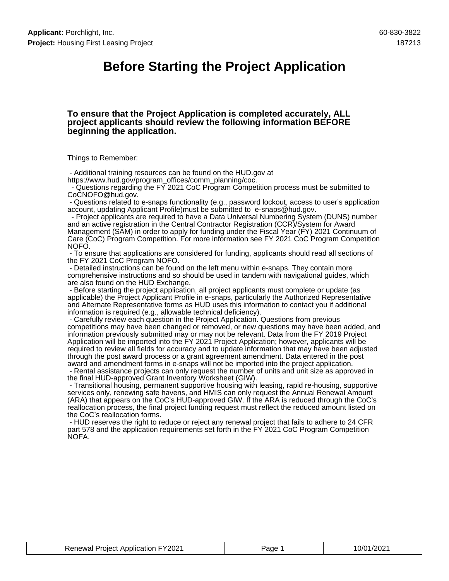### **Before Starting the Project Application**

#### **To ensure that the Project Application is completed accurately, ALL project applicants should review the following information BEFORE beginning the application.**

Things to Remember:

 - Additional training resources can be found on the HUD.gov at https://www.hud.gov/program\_offices/comm\_planning/coc.

 - Questions regarding the FY 2021 CoC Program Competition process must be submitted to CoCNOFO@hud.gov.

 - Questions related to e-snaps functionality (e.g., password lockout, access to user's application account, updating Applicant Profile)must be submitted to e-snaps@hud.gov.

 - Project applicants are required to have a Data Universal Numbering System (DUNS) number and an active registration in the Central Contractor Registration (CCR)/System for Award Management (SAM) in order to apply for funding under the Fiscal Year (FY) 2021 Continuum of Care (CoC) Program Competition. For more information see FY 2021 CoC Program Competition NOFO.

 - To ensure that applications are considered for funding, applicants should read all sections of the FY 2021 CoC Program NOFO.

 - Detailed instructions can be found on the left menu within e-snaps. They contain more comprehensive instructions and so should be used in tandem with navigational guides, which are also found on the HUD Exchange.

 - Before starting the project application, all project applicants must complete or update (as applicable) the Project Applicant Profile in e-snaps, particularly the Authorized Representative and Alternate Representative forms as HUD uses this information to contact you if additional information is required (e.g., allowable technical deficiency).

 - Carefully review each question in the Project Application. Questions from previous competitions may have been changed or removed, or new questions may have been added, and information previously submitted may or may not be relevant. Data from the FY 2019 Project Application will be imported into the FY 2021 Project Application; however, applicants will be required to review all fields for accuracy and to update information that may have been adjusted through the post award process or a grant agreement amendment. Data entered in the post award and amendment forms in e-snaps will not be imported into the project application.

 - Rental assistance projects can only request the number of units and unit size as approved in the final HUD-approved Grant Inventory Worksheet (GIW).

 - Transitional housing, permanent supportive housing with leasing, rapid re-housing, supportive services only, renewing safe havens, and HMIS can only request the Annual Renewal Amount (ARA) that appears on the CoC's HUD-approved GIW. If the ARA is reduced through the CoC's reallocation process, the final project funding request must reflect the reduced amount listed on the CoC's reallocation forms.

 - HUD reserves the right to reduce or reject any renewal project that fails to adhere to 24 CFR part 578 and the application requirements set forth in the FY 2021 CoC Program Competition NOFA.

| <b>Renewal Project Application FY2021</b> | Page | 10/01/2021 |
|-------------------------------------------|------|------------|
|-------------------------------------------|------|------------|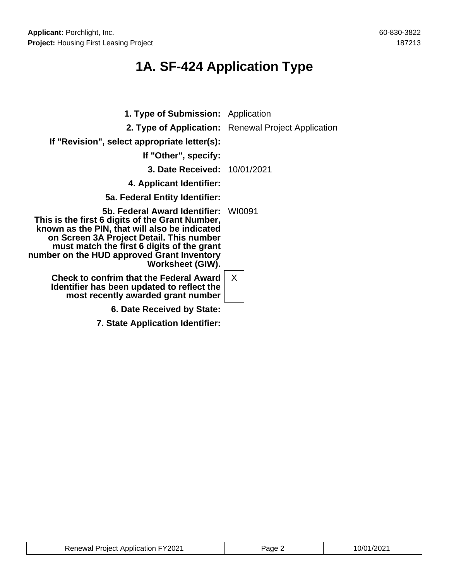# **1A. SF-424 Application Type**

| <b>1. Type of Submission:</b> Application                                                                                                                                                                                                                                                            |                                                     |
|------------------------------------------------------------------------------------------------------------------------------------------------------------------------------------------------------------------------------------------------------------------------------------------------------|-----------------------------------------------------|
|                                                                                                                                                                                                                                                                                                      | 2. Type of Application: Renewal Project Application |
| If "Revision", select appropriate letter(s):                                                                                                                                                                                                                                                         |                                                     |
| If "Other", specify:                                                                                                                                                                                                                                                                                 |                                                     |
| <b>3. Date Received: 10/01/2021</b>                                                                                                                                                                                                                                                                  |                                                     |
| 4. Applicant Identifier:                                                                                                                                                                                                                                                                             |                                                     |
| 5a. Federal Entity Identifier:                                                                                                                                                                                                                                                                       |                                                     |
| 5b. Federal Award Identifier:<br>This is the first 6 digits of the Grant Number,<br>known as the PIN, that will also be indicated<br>on Screen 3A Project Detail. This number<br>must match the first 6 digits of the grant<br>number on the HUD approved Grant Inventory<br><b>Worksheet (GIW).</b> | WI0091                                              |
| <b>Check to confrim that the Federal Award</b><br>Identifier has been updated to reflect the<br>most recently awarded grant number                                                                                                                                                                   | $\mathsf{X}$                                        |
| 6. Date Received by State:                                                                                                                                                                                                                                                                           |                                                     |
| 7. State Application Identifier:                                                                                                                                                                                                                                                                     |                                                     |

| <b>Renewal Project Application FY2021</b> | Page 2 | 10/01/2021 |
|-------------------------------------------|--------|------------|
|-------------------------------------------|--------|------------|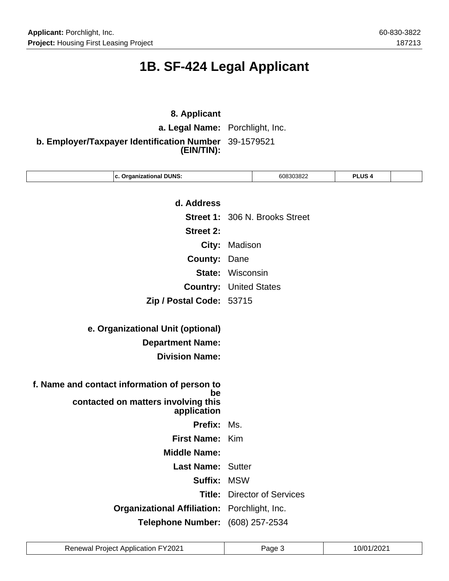# **1B. SF-424 Legal Applicant**

### **8. Applicant a. Legal Name:** Porchlight, Inc. **b. Employer/Taxpayer Identification Number** 39-1579521 **(EIN/TIN):**

| c. Organizational DUNS:                            |         | 608303822                      | PLUS <sub>4</sub> |  |
|----------------------------------------------------|---------|--------------------------------|-------------------|--|
|                                                    |         |                                |                   |  |
| d. Address                                         |         |                                |                   |  |
|                                                    |         | Street 1: 306 N. Brooks Street |                   |  |
| <b>Street 2:</b>                                   |         |                                |                   |  |
| City:                                              | Madison |                                |                   |  |
| <b>County:</b>                                     | Dane    |                                |                   |  |
| <b>State: Wisconsin</b>                            |         |                                |                   |  |
| <b>Country: United States</b>                      |         |                                |                   |  |
| Zip / Postal Code: 53715                           |         |                                |                   |  |
|                                                    |         |                                |                   |  |
| e. Organizational Unit (optional)                  |         |                                |                   |  |
| <b>Department Name:</b>                            |         |                                |                   |  |
| <b>Division Name:</b>                              |         |                                |                   |  |
|                                                    |         |                                |                   |  |
| f. Name and contact information of person to<br>be |         |                                |                   |  |
| contacted on matters involving this                |         |                                |                   |  |
| application                                        |         |                                |                   |  |
| Prefix:                                            | Ms.     |                                |                   |  |
| First Name: Kim                                    |         |                                |                   |  |
| <b>Middle Name:</b>                                |         |                                |                   |  |
| <b>Last Name: Sutter</b>                           |         |                                |                   |  |
| Suffix: MSW                                        |         |                                |                   |  |
| Title:                                             |         | <b>Director of Services</b>    |                   |  |
| Organizational Affiliation: Porchlight, Inc.       |         |                                |                   |  |
| Telephone Number: (608) 257-2534                   |         |                                |                   |  |

| <b>Renewal Project Application FY2021</b> | Page 3 | 10/01/2021 |
|-------------------------------------------|--------|------------|
|-------------------------------------------|--------|------------|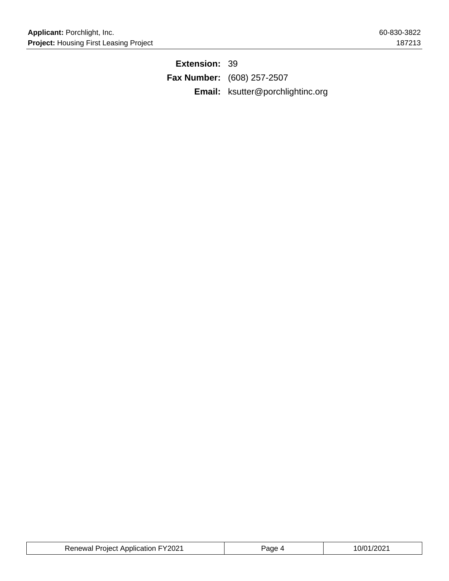**Extension:** 39 **Fax Number:** (608) 257-2507 **Email:** ksutter@porchlightinc.org

| <b>Renewal Project Application FY2021</b> | Page 4 | 10/01/2021 |
|-------------------------------------------|--------|------------|
|-------------------------------------------|--------|------------|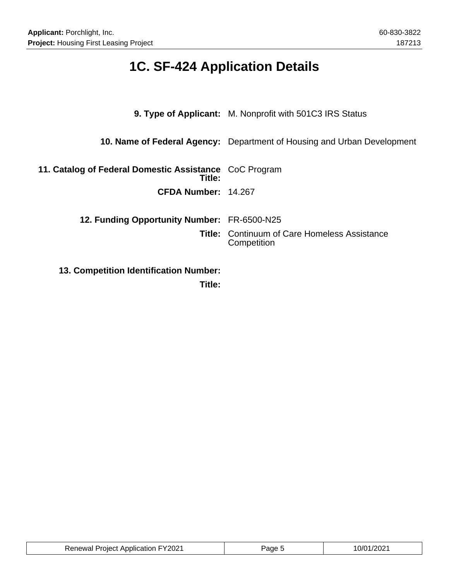# **1C. SF-424 Application Details**

|                                                                  | <b>9. Type of Applicant:</b> M. Nonprofit with 501C3 IRS Status         |  |
|------------------------------------------------------------------|-------------------------------------------------------------------------|--|
|                                                                  | 10. Name of Federal Agency: Department of Housing and Urban Development |  |
| 11. Catalog of Federal Domestic Assistance CoC Program<br>Title: |                                                                         |  |
| CFDA Number: 14.267                                              |                                                                         |  |
| 12. Funding Opportunity Number: FR-6500-N25                      |                                                                         |  |
|                                                                  | <b>Title: Continuum of Care Homeless Assistance</b><br>Competition      |  |
| <b>13. Competition Identification Number:</b>                    |                                                                         |  |

**Title:**

| <b>Renewal Project Application FY2021</b> | Page : | $\sim$ $\sim$ $\sim$ |
|-------------------------------------------|--------|----------------------|
|-------------------------------------------|--------|----------------------|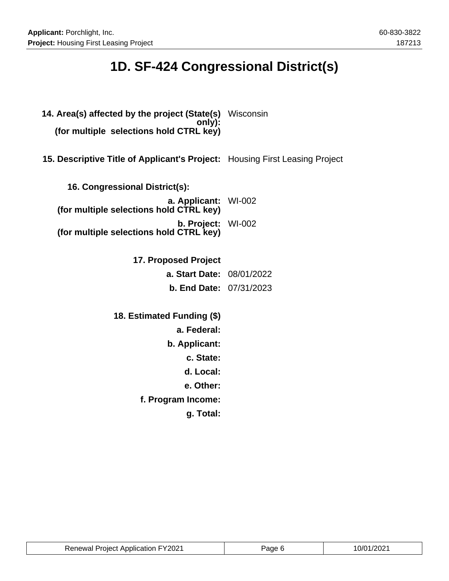# **1D. SF-424 Congressional District(s)**

**14. Area(s) affected by the project (State(s)** Wisconsin **only): (for multiple selections hold CTRL key) 15. Descriptive Title of Applicant's Project:** Housing First Leasing Project **16. Congressional District(s): a. Applicant:** WI-002 **(for multiple selections hold CTRL key) b. Project: (for multiple selections hold CTRL key)** WI-002 **17. Proposed Project a. Start Date:** 08/01/2022 **b. End Date:** 07/31/2023 **18. Estimated Funding (\$) a. Federal: b. Applicant: c. State: d. Local: e. Other: f. Program Income: g. Total:**

| <b>Renewal Project Application FY2021</b> | Page 6 | 10/01/2021 |
|-------------------------------------------|--------|------------|
|-------------------------------------------|--------|------------|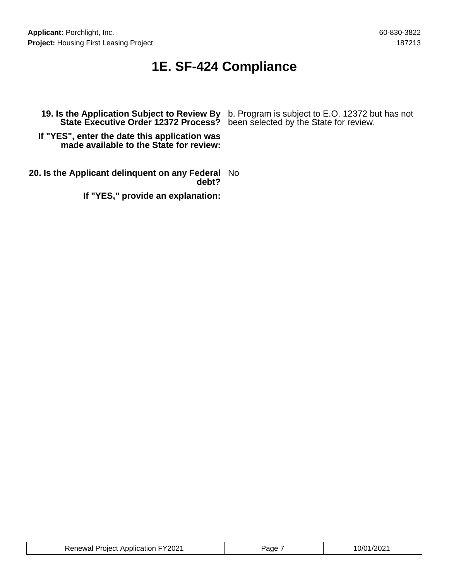## **1E. SF-424 Compliance**

**State Executive Order 12372 Process?** been selected by the State for review.

**19. Is the Application Subject to Review By** b. Program is subject to E.O. 12372 but has not

**If "YES", enter the date this application was made available to the State for review:**

**20. Is the Applicant delinquent on any Federal** No **debt?**

**If "YES," provide an explanation:**

| <b>Renewal Project Application FY2021</b> | Page | 10/01/2021 |
|-------------------------------------------|------|------------|
|-------------------------------------------|------|------------|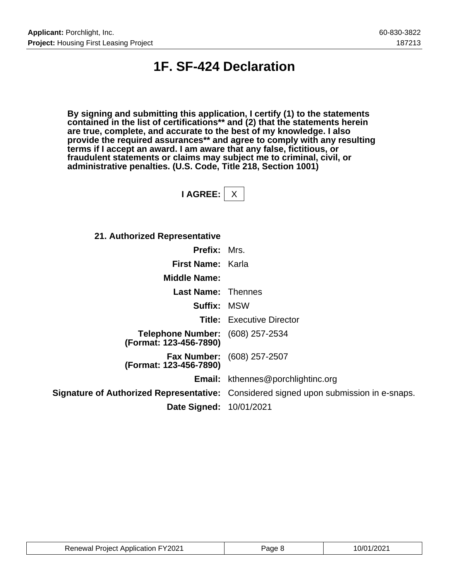## **1F. SF-424 Declaration**

**By signing and submitting this application, I certify (1) to the statements contained in the list of certifications\*\* and (2) that the statements herein are true, complete, and accurate to the best of my knowledge. I also provide the required assurances\*\* and agree to comply with any resulting terms if I accept an award. I am aware that any false, fictitious, or fraudulent statements or claims may subject me to criminal, civil, or administrative penalties. (U.S. Code, Title 218, Section 1001)**

**I AGREE:** X

**21. Authorized Representative**

| <b>Prefix: Mrs.</b>                                               |                                                                                              |
|-------------------------------------------------------------------|----------------------------------------------------------------------------------------------|
| <b>First Name: Karla</b>                                          |                                                                                              |
| <b>Middle Name:</b>                                               |                                                                                              |
| <b>Last Name: Thennes</b>                                         |                                                                                              |
| <b>Suffix: MSW</b>                                                |                                                                                              |
|                                                                   | <b>Title:</b> Executive Director                                                             |
| <b>Telephone Number:</b> (608) 257-2534<br>(Format: 123-456-7890) |                                                                                              |
| (Format: 123-456-7890)                                            | <b>Fax Number:</b> (608) 257-2507                                                            |
|                                                                   | <b>Email:</b> kthennes@porchlightinc.org                                                     |
|                                                                   | <b>Signature of Authorized Representative:</b> Considered signed upon submission in e-snaps. |
| Date Signed: 10/01/2021                                           |                                                                                              |

| <b>Renewal Project Application FY2021</b> | 'age | 10/01/2021 |
|-------------------------------------------|------|------------|
|-------------------------------------------|------|------------|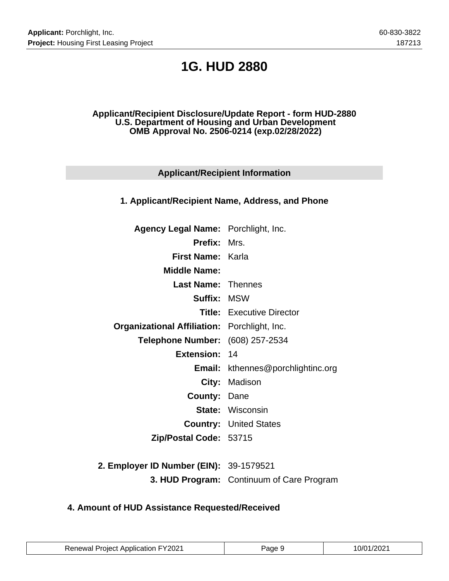## **1G. HUD 2880**

#### **Applicant/Recipient Disclosure/Update Report - form HUD-2880 U.S. Department of Housing and Urban Development OMB Approval No. 2506-0214 (exp.02/28/2022)**

### **Applicant/Recipient Information**

#### **1. Applicant/Recipient Name, Address, and Phone**

| Agency Legal Name: Porchlight, Inc.                 |                                          |
|-----------------------------------------------------|------------------------------------------|
| <b>Prefix: Mrs.</b>                                 |                                          |
| <b>First Name: Karla</b>                            |                                          |
| <b>Middle Name:</b>                                 |                                          |
| <b>Last Name: Thennes</b>                           |                                          |
| <b>Suffix: MSW</b>                                  |                                          |
|                                                     | <b>Title:</b> Executive Director         |
| <b>Organizational Affiliation:</b> Porchlight, Inc. |                                          |
| Telephone Number: (608) 257-2534                    |                                          |
| <b>Extension: 14</b>                                |                                          |
|                                                     | <b>Email:</b> kthennes@porchlightinc.org |
|                                                     | City: Madison                            |
| <b>County: Dane</b>                                 |                                          |
|                                                     | <b>State: Wisconsin</b>                  |
|                                                     | <b>Country: United States</b>            |
| Zip/Postal Code: 53715                              |                                          |
|                                                     |                                          |

**2. Employer ID Number (EIN):** 39-1579521 **3. HUD Program:** Continuum of Care Program

### **4. Amount of HUD Assistance Requested/Received**

| <b>Renewal Project Application FY2021</b> | Page 9 | 10/01/2021 |
|-------------------------------------------|--------|------------|
|-------------------------------------------|--------|------------|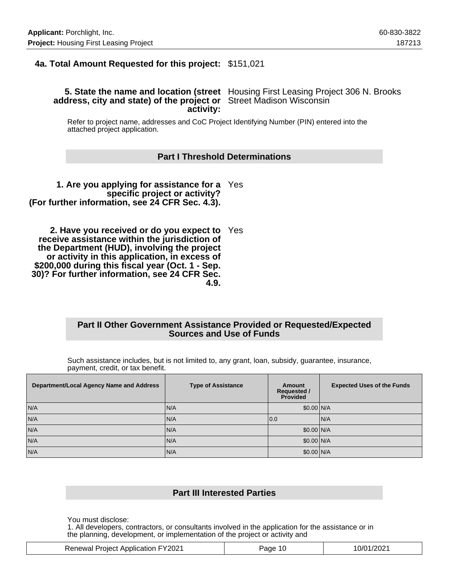### **4a. Total Amount Requested for this project:** \$151,021

#### **5. State the name and location (street** Housing First Leasing Project 306 N. Brooks **address, city and state) of the project or** Street Madison Wisconsin **activity:**

Refer to project name, addresses and CoC Project Identifying Number (PIN) entered into the attached project application.

#### **Part I Threshold Determinations**

**1. Are you applying for assistance for a** Yes **specific project or activity? (For further information, see 24 CFR Sec. 4.3).**

**2. Have you received or do you expect to** Yes **receive assistance within the jurisdiction of the Department (HUD), involving the project or activity in this application, in excess of \$200,000 during this fiscal year (Oct. 1 - Sep. 30)? For further information, see 24 CFR Sec. 4.9.**

#### **Part II Other Government Assistance Provided or Requested/Expected Sources and Use of Funds**

Such assistance includes, but is not limited to, any grant, loan, subsidy, guarantee, insurance, payment, credit, or tax benefit.

| Department/Local Agency Name and Address | <b>Type of Assistance</b> | Amount<br><b>Requested /</b><br><b>Provided</b> | <b>Expected Uses of the Funds</b> |
|------------------------------------------|---------------------------|-------------------------------------------------|-----------------------------------|
| N/A                                      | N/A                       | \$0.00 N/A                                      |                                   |
| N/A                                      | N/A                       | 10.0                                            | IN/A                              |
| N/A                                      | N/A                       | \$0.00 N/A                                      |                                   |
| N/A                                      | N/A                       | \$0.00 N/A                                      |                                   |
| N/A                                      | N/A                       | \$0.00 N/A                                      |                                   |

#### **Part III Interested Parties**

You must disclose:

1. All developers, contractors, or consultants involved in the application for the assistance or in the planning, development, or implementation of the project or activity and

| <b>Renewal Project Application FY2021</b> | 10<br>'age | 10/01/2021 |
|-------------------------------------------|------------|------------|
|                                           |            |            |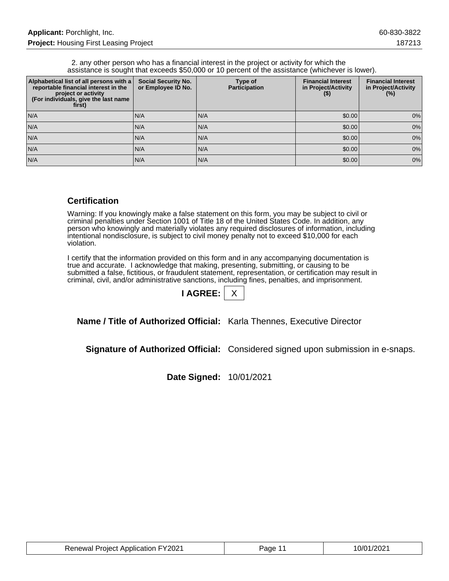2. any other person who has a financial interest in the project or activity for which the assistance is sought that exceeds \$50,000 or 10 percent of the assistance (whichever is lower).

| Alphabetical list of all persons with a<br>reportable financial interest in the<br>project or activity<br>(For individuals, give the last name<br>first) | <b>Social Security No.</b><br>or Employee ID No. | Type of<br><b>Participation</b> | <b>Financial Interest</b><br>in Project/Activity<br>$($ \$) | <b>Financial Interest</b><br>in Project/Activity<br>(%) |
|----------------------------------------------------------------------------------------------------------------------------------------------------------|--------------------------------------------------|---------------------------------|-------------------------------------------------------------|---------------------------------------------------------|
| N/A                                                                                                                                                      | IN/A                                             | N/A                             | \$0.00                                                      | 0%                                                      |
| N/A                                                                                                                                                      | IN/A                                             | IN/A                            | \$0.00                                                      | 0%                                                      |
| N/A                                                                                                                                                      | N/A                                              | N/A                             | \$0.00                                                      | 0%                                                      |
| N/A                                                                                                                                                      | IN/A                                             | IN/A                            | \$0.00                                                      | 0%                                                      |
| N/A                                                                                                                                                      | N/A                                              | N/A                             | \$0.00                                                      | 0%                                                      |

#### **Certification**

Warning: If you knowingly make a false statement on this form, you may be subject to civil or criminal penalties under Section 1001 of Title 18 of the United States Code. In addition, any person who knowingly and materially violates any required disclosures of information, including intentional nondisclosure, is subject to civil money penalty not to exceed \$10,000 for each violation.

I certify that the information provided on this form and in any accompanying documentation is true and accurate. I acknowledge that making, presenting, submitting, or causing to be submitted a false, fictitious, or fraudulent statement, representation, or certification may result in criminal, civil, and/or administrative sanctions, including fines, penalties, and imprisonment.

| <b>AGREE:</b> |  |
|---------------|--|
|               |  |

**Name / Title of Authorized Official:** Karla Thennes, Executive Director

**Signature of Authorized Official:** Considered signed upon submission in e-snaps.

**Date Signed:** 10/01/2021

| <b>Renewal Project Application FY2021</b> | Page 11 | 10/01/2021 |
|-------------------------------------------|---------|------------|
|-------------------------------------------|---------|------------|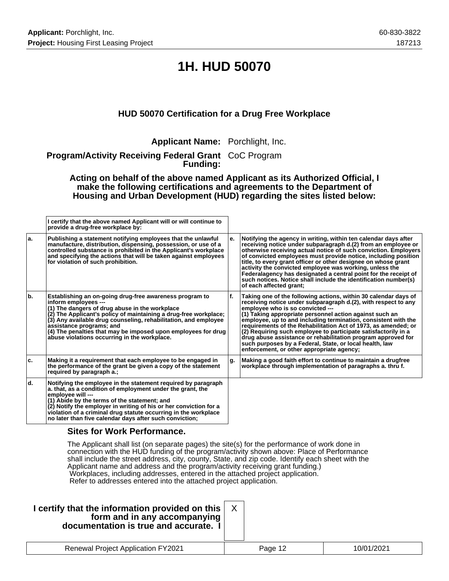# **1H. HUD 50070**

### **HUD 50070 Certification for a Drug Free Workplace**

**Applicant Name:** Porchlight, Inc.

**Program/Activity Receiving Federal Grant** CoC Program **Funding:**

**Acting on behalf of the above named Applicant as its Authorized Official, I make the following certifications and agreements to the Department of Housing and Urban Development (HUD) regarding the sites listed below:**

|     | I certify that the above named Applicant will or will continue to<br>provide a drug-free workplace by:                                                                                                                                                                                                                                                                                                                |     |                                                                                                                                                                                                                                                                                                                                                                                                                                                                                                                                                                                                                  |
|-----|-----------------------------------------------------------------------------------------------------------------------------------------------------------------------------------------------------------------------------------------------------------------------------------------------------------------------------------------------------------------------------------------------------------------------|-----|------------------------------------------------------------------------------------------------------------------------------------------------------------------------------------------------------------------------------------------------------------------------------------------------------------------------------------------------------------------------------------------------------------------------------------------------------------------------------------------------------------------------------------------------------------------------------------------------------------------|
| la. | Publishing a statement notifying employees that the unlawful<br>manufacture, distribution, dispensing, possession, or use of a<br>controlled substance is prohibited in the Applicant's workplace<br>and specifying the actions that will be taken against employees<br>for violation of such prohibition.                                                                                                            | le. | Notifying the agency in writing, within ten calendar days after<br>receiving notice under subparagraph d.(2) from an employee or<br>otherwise receiving actual notice of such conviction. Employers<br>of convicted employees must provide notice, including position<br>title, to every grant officer or other designee on whose grant<br>activity the convicted employee was working, unless the<br>Federalagency has designated a central point for the receipt of<br>such notices. Notice shall include the identification number(s)<br>of each affected grant;                                              |
| b.  | Establishing an on-going drug-free awareness program to<br>inform employees ---<br>(1) The dangers of drug abuse in the workplace<br>(2) The Applicant's policy of maintaining a drug-free workplace;<br>(3) Any available drug counseling, rehabilitation, and employee<br>assistance programs; and<br>(4) The penalties that may be imposed upon employees for drug<br>abuse violations occurring in the workplace. | lf. | Taking one of the following actions, within 30 calendar days of<br>receiving notice under subparagraph d.(2), with respect to any<br>emplovee who is so convicted ---<br>$(1)$ Taking appropriate personnel action against such an<br>employee, up to and including termination, consistent with the<br>requirements of the Rehabilitation Act of 1973, as amended; or<br>(2) Requiring such employee to participate satisfactorily in a<br>drug abuse assistance or rehabilitation program approved for<br>such purposes by a Federal, State, or local health, law<br>enforcement, or other appropriate agency; |
| ۱c. | Making it a requirement that each employee to be engaged in<br>the performance of the grant be given a copy of the statement<br>required by paragraph a.;                                                                                                                                                                                                                                                             | g.  | Making a good faith effort to continue to maintain a drugfree<br>workplace through implementation of paragraphs a. thru f.                                                                                                                                                                                                                                                                                                                                                                                                                                                                                       |
| ld. | Notifying the employee in the statement required by paragraph<br>a. that, as a condition of employment under the grant, the<br>employee will ---<br>(1) Abide by the terms of the statement; and<br>(2) Notify the employer in writing of his or her conviction for a<br>violation of a criminal drug statute occurring in the workplace<br>no later than five calendar days after such conviction;                   |     |                                                                                                                                                                                                                                                                                                                                                                                                                                                                                                                                                                                                                  |

#### **Sites for Work Performance.**

The Applicant shall list (on separate pages) the site(s) for the performance of work done in connection with the HUD funding of the program/activity shown above: Place of Performance shall include the street address, city, county, State, and zip code. Identify each sheet with the Applicant name and address and the program/activity receiving grant funding.) Workplaces, including addresses, entered in the attached project application. Refer to addresses entered into the attached project application.

| I certify that the information provided on this<br>form and in any accompanying<br>documentation is true and accurate. I |         |            |
|--------------------------------------------------------------------------------------------------------------------------|---------|------------|
| <b>Renewal Project Application FY2021</b>                                                                                | Page 12 | 10/01/2021 |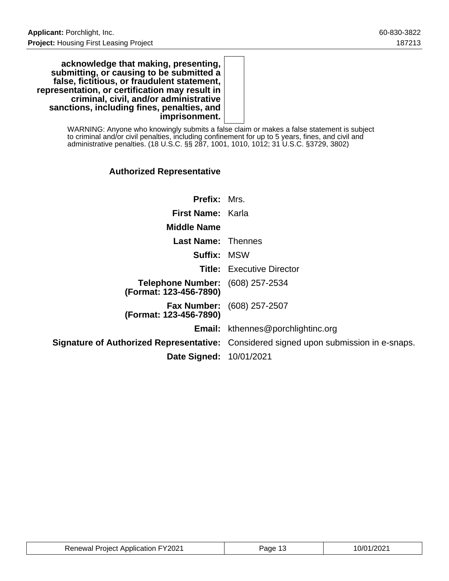**acknowledge that making, presenting, submitting, or causing to be submitted a false, fictitious, or fraudulent statement, representation, or certification may result in criminal, civil, and/or administrative sanctions, including fines, penalties, and imprisonment.**

> WARNING: Anyone who knowingly submits a false claim or makes a false statement is subject to criminal and/or civil penalties, including confinement for up to 5 years, fines, and civil and administrative penalties. (18 U.S.C. §§ 287, 1001, 1010, 1012; 31 U.S.C. §3729, 3802)

### **Authorized Representative**

| <b>Prefix: Mrs.</b>                                               |                                                                                              |
|-------------------------------------------------------------------|----------------------------------------------------------------------------------------------|
| <b>First Name: Karla</b>                                          |                                                                                              |
| <b>Middle Name</b>                                                |                                                                                              |
| <b>Last Name: Thennes</b>                                         |                                                                                              |
| <b>Suffix: MSW</b>                                                |                                                                                              |
|                                                                   | <b>Title:</b> Executive Director                                                             |
| <b>Telephone Number:</b> (608) 257-2534<br>(Format: 123-456-7890) |                                                                                              |
| (Format: 123-456-7890)                                            | <b>Fax Number:</b> (608) 257-2507                                                            |
|                                                                   | <b>Email:</b> kthennes@porchlightinc.org                                                     |
|                                                                   | <b>Signature of Authorized Representative:</b> Considered signed upon submission in e-snaps. |
| <b>Date Signed: 10/01/2021</b>                                    |                                                                                              |

| <b>Renewal Project Application FY2021</b> | Page | 10/01/2021 |
|-------------------------------------------|------|------------|
|-------------------------------------------|------|------------|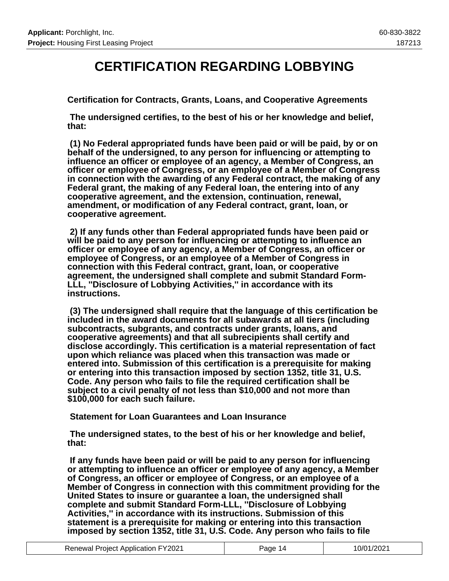## **CERTIFICATION REGARDING LOBBYING**

**Certification for Contracts, Grants, Loans, and Cooperative Agreements**

 **The undersigned certifies, to the best of his or her knowledge and belief, that:**

 **(1) No Federal appropriated funds have been paid or will be paid, by or on behalf of the undersigned, to any person for influencing or attempting to influence an officer or employee of an agency, a Member of Congress, an officer or employee of Congress, or an employee of a Member of Congress in connection with the awarding of any Federal contract, the making of any Federal grant, the making of any Federal loan, the entering into of any cooperative agreement, and the extension, continuation, renewal, amendment, or modification of any Federal contract, grant, loan, or cooperative agreement.**

 **2) If any funds other than Federal appropriated funds have been paid or will be paid to any person for influencing or attempting to influence an officer or employee of any agency, a Member of Congress, an officer or employee of Congress, or an employee of a Member of Congress in connection with this Federal contract, grant, loan, or cooperative agreement, the undersigned shall complete and submit Standard Form-LLL, ''Disclosure of Lobbying Activities,'' in accordance with its instructions.**

 **(3) The undersigned shall require that the language of this certification be included in the award documents for all subawards at all tiers (including subcontracts, subgrants, and contracts under grants, loans, and cooperative agreements) and that all subrecipients shall certify and disclose accordingly. This certification is a material representation of fact upon which reliance was placed when this transaction was made or entered into. Submission of this certification is a prerequisite for making or entering into this transaction imposed by section 1352, title 31, U.S. Code. Any person who fails to file the required certification shall be subject to a civil penalty of not less than \$10,000 and not more than \$100,000 for each such failure.**

 **Statement for Loan Guarantees and Loan Insurance**

 **The undersigned states, to the best of his or her knowledge and belief, that:**

 **If any funds have been paid or will be paid to any person for influencing or attempting to influence an officer or employee of any agency, a Member of Congress, an officer or employee of Congress, or an employee of a Member of Congress in connection with this commitment providing for the United States to insure or guarantee a loan, the undersigned shall complete and submit Standard Form-LLL, ''Disclosure of Lobbying Activities,'' in accordance with its instructions. Submission of this statement is a prerequisite for making or entering into this transaction imposed by section 1352, title 31, U.S. Code. Any person who fails to file**

| <b>Renewal Project Application FY2021</b> | Page 14 | 10/01/2021 |
|-------------------------------------------|---------|------------|
|-------------------------------------------|---------|------------|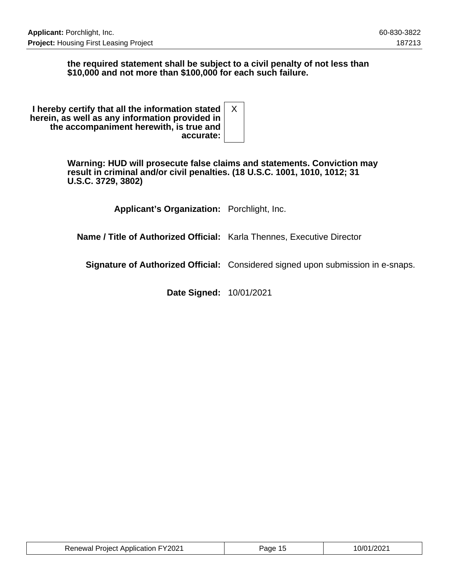### **the required statement shall be subject to a civil penalty of not less than \$10,000 and not more than \$100,000 for each such failure.**

| I hereby certify that all the information stated<br>herein, as well as any information provided in<br>the accompaniment herewith, is true and |  |
|-----------------------------------------------------------------------------------------------------------------------------------------------|--|
| accurate:                                                                                                                                     |  |

**Warning: HUD will prosecute false claims and statements. Conviction may result in criminal and/or civil penalties. (18 U.S.C. 1001, 1010, 1012; 31 U.S.C. 3729, 3802)**

**Applicant's Organization:** Porchlight, Inc.

**Name / Title of Authorized Official:** Karla Thennes, Executive Director

**Signature of Authorized Official:** Considered signed upon submission in e-snaps.

**Date Signed:** 10/01/2021

| <b>Renewal Project Application FY2021</b> | Page 15 | 10/01/2021 |
|-------------------------------------------|---------|------------|
|-------------------------------------------|---------|------------|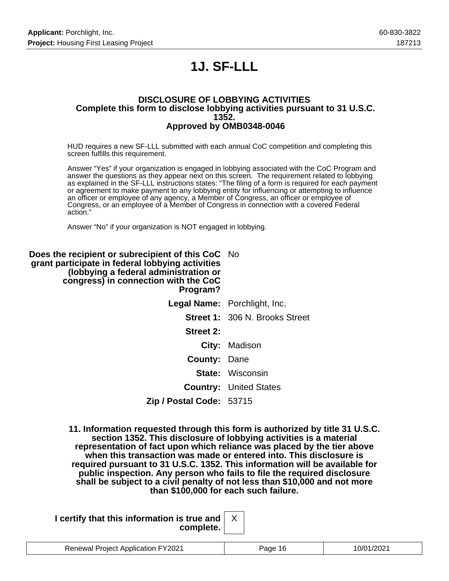# **1J. SF-LLL**

#### **DISCLOSURE OF LOBBYING ACTIVITIES Complete this form to disclose lobbying activities pursuant to 31 U.S.C. 1352. Approved by OMB0348-0046**

HUD requires a new SF-LLL submitted with each annual CoC competition and completing this screen fulfills this requirement.

Answer "Yes" if your organization is engaged in lobbying associated with the CoC Program and answer the questions as they appear next on this screen. The requirement related to lobbying as explained in the SF-LLL instructions states: "The filing of a form is required for each payment or agreement to make payment to any lobbying entity for influencing or attempting to influence an officer or employee of any agency, a Member of Congress, an officer or employee of Congress, or an employee of a Member of Congress in connection with a covered Federal action."

Answer "No" if your organization is NOT engaged in lobbying.

| <b>Does the recipient or subrecipient of this CoC</b> No<br>grant participate in federal lobbying activities<br>(lobbying a federal administration or<br>congress) in connection with the CoC<br>Program? |                                       |
|-----------------------------------------------------------------------------------------------------------------------------------------------------------------------------------------------------------|---------------------------------------|
|                                                                                                                                                                                                           | <b>Legal Name:</b> Porchlight, Inc.   |
|                                                                                                                                                                                                           | <b>Street 1: 306 N. Brooks Street</b> |
| <b>Street 2:</b>                                                                                                                                                                                          |                                       |
|                                                                                                                                                                                                           | City: Madison                         |
| <b>County: Dane</b>                                                                                                                                                                                       |                                       |
|                                                                                                                                                                                                           | <b>State: Wisconsin</b>               |
|                                                                                                                                                                                                           | <b>Country: United States</b>         |
| Zip / Postal Code: 53715                                                                                                                                                                                  |                                       |

**11. Information requested through this form is authorized by title 31 U.S.C. section 1352. This disclosure of lobbying activities is a material representation of fact upon which reliance was placed by the tier above when this transaction was made or entered into. This disclosure is required pursuant to 31 U.S.C. 1352. This information will be available for public inspection. Any person who fails to file the required disclosure shall be subject to a civil penalty of not less than \$10,000 and not more than \$100,000 for each such failure.**

| I certify that this information is true and $\vert$ |  |
|-----------------------------------------------------|--|
| complete. $ $                                       |  |

| Proiect Application FY2021<br>Renewal | эн⊢ | <br>u<br>. |
|---------------------------------------|-----|------------|
|                                       |     |            |

X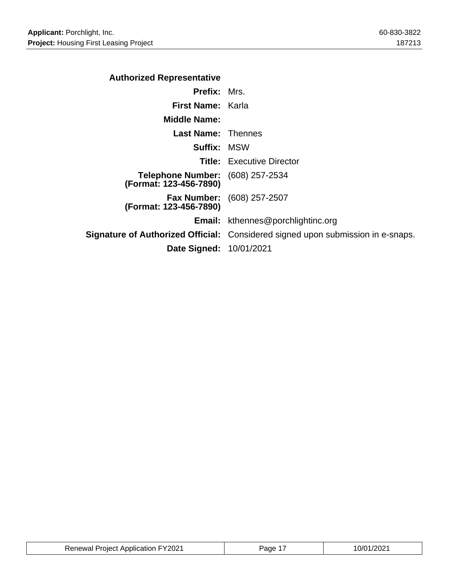| <b>Authorized Representative</b>                                  |                                                                                 |
|-------------------------------------------------------------------|---------------------------------------------------------------------------------|
| <b>Prefix: Mrs.</b>                                               |                                                                                 |
| <b>First Name: Karla</b>                                          |                                                                                 |
| <b>Middle Name:</b>                                               |                                                                                 |
| <b>Last Name:</b> Thennes                                         |                                                                                 |
| <b>Suffix: MSW</b>                                                |                                                                                 |
|                                                                   | <b>Title:</b> Executive Director                                                |
| <b>Telephone Number:</b> (608) 257-2534<br>(Format: 123-456-7890) |                                                                                 |
| (Format: 123-456-7890)                                            | <b>Fax Number:</b> (608) 257-2507                                               |
|                                                                   | <b>Email:</b> kthennes@porchlightinc.org                                        |
|                                                                   | Signature of Authorized Official: Considered signed upon submission in e-snaps. |
| Date Signed: 10/01/2021                                           |                                                                                 |
|                                                                   |                                                                                 |

| <b>Renewal Project Application FY2021</b> | <sup>1</sup> Page | 10/01/2021 |
|-------------------------------------------|-------------------|------------|
|-------------------------------------------|-------------------|------------|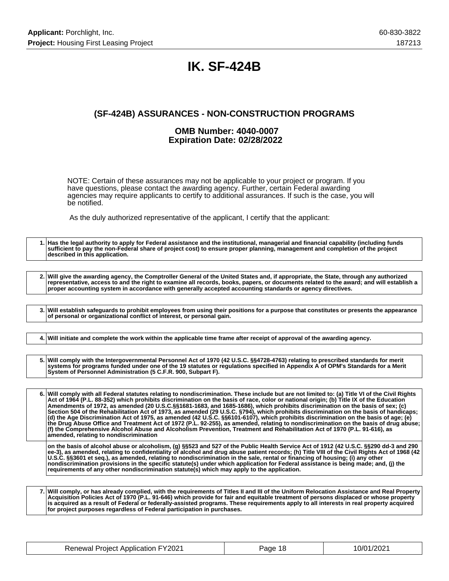## **IK. SF-424B**

### **(SF-424B) ASSURANCES - NON-CONSTRUCTION PROGRAMS**

#### **OMB Number: 4040-0007 Expiration Date: 02/28/2022**

NOTE: Certain of these assurances may not be applicable to your project or program. If you have questions, please contact the awarding agency. Further, certain Federal awarding agencies may require applicants to certify to additional assurances. If such is the case, you will be notified.

As the duly authorized representative of the applicant, I certify that the applicant:

**1. Has the legal authority to apply for Federal assistance and the institutional, managerial and financial capability (including funds sufficient to pay the non-Federal share of project cost) to ensure proper planning, management and completion of the project described in this application. 2. Will give the awarding agency, the Comptroller General of the United States and, if appropriate, the State, through any authorized representative, access to and the right to examine all records, books, papers, or documents related to the award; and will establish a proper accounting system in accordance with generally accepted accounting standards or agency directives. 3. Will establish safeguards to prohibit employees from using their positions for a purpose that constitutes or presents the appearance of personal or organizational conflict of interest, or personal gain. 4. Will initiate and complete the work within the applicable time frame after receipt of approval of the awarding agency. 5. Will comply with the Intergovernmental Personnel Act of 1970 (42 U.S.C. §§4728-4763) relating to prescribed standards for merit systems for programs funded under one of the 19 statutes or regulations specified in Appendix A of OPM's Standards for a Merit System of Personnel Administration (5 C.F.R. 900, Subpart F). 6. Will comply with all Federal statutes relating to nondiscrimination. These include but are not limited to: (a) Title VI of the Civil Rights Act of 1964 (P.L. 88-352) which prohibits discrimination on the basis of race, color or national origin; (b) Title IX of the Education Amendments of 1972, as amended (20 U.S.C.§§1681-1683, and 1685-1686), which prohibits discrimination on the basis of sex; (c) Section 504 of the Rehabilitation Act of 1973, as amended (29 U.S.C. §794), which prohibits discrimination on the basis of handicaps; (d) the Age Discrimination Act of 1975, as amended (42 U.S.C. §§6101-6107), which prohibits discrimination on the basis of age; (e) the Drug Abuse Office and Treatment Act of 1972 (P.L. 92-255), as amended, relating to nondiscrimination on the basis of drug abuse; (f) the Comprehensive Alcohol Abuse and Alcoholism Prevention, Treatment and Rehabilitation Act of 1970 (P.L. 91-616), as amended, relating to nondiscrimination on the basis of alcohol abuse or alcoholism, (g) §§523 and 527 of the Public Health Service Act of 1912 (42 U.S.C. §§290 dd-3 and 290 ee-3), as amended, relating to confidentiality of alcohol and drug abuse patient records; (h) Title VIII of the Civil Rights Act of 1968 (42 U.S.C. §§3601 et seq.), as amended, relating to nondiscrimination in the sale, rental or financing of housing; (i) any other nondiscrimination provisions in the specific statute(s) under which application for Federal assistance is being made; and, (j) the requirements of any other nondiscrimination statute(s) which may apply to the application.**

**7. Will comply, or has already complied, with the requirements of Titles II and III of the Uniform Relocation Assistance and Real Property Acquisition Policies Act of 1970 (P.L. 91-646) which provide for fair and equitable treatment of persons displaced or whose property is acquired as a result of Federal or federally-assisted programs. These requirements apply to all interests in real property acquired for project purposes regardless of Federal participation in purchases.**

| <b>Renewal Project Application FY2021</b> | Page 18 | 10/01/2021 |
|-------------------------------------------|---------|------------|
|-------------------------------------------|---------|------------|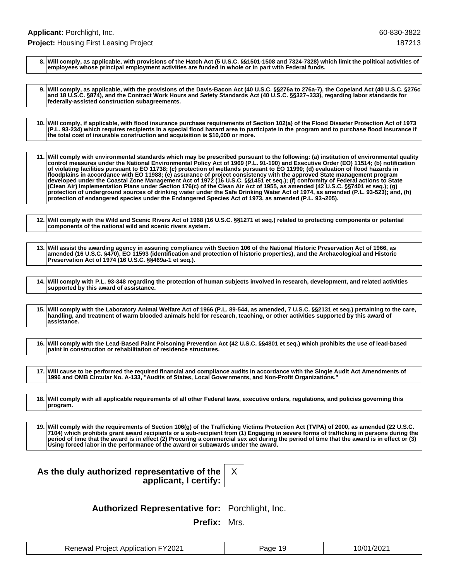**8. Will comply, as applicable, with provisions of the Hatch Act (5 U.S.C. §§1501-1508 and 7324-7328) which limit the political activities of employees whose principal employment activities are funded in whole or in part with Federal funds.**

**9. Will comply, as applicable, with the provisions of the Davis-Bacon Act (40 U.S.C. §§276a to 276a-7), the Copeland Act (40 U.S.C. §276c and 18 U.S.C. §874), and the Contract Work Hours and Safety Standards Act (40 U.S.C. §§327¬333), regarding labor standards for federally-assisted construction subagreements.**

**10. Will comply, if applicable, with flood insurance purchase requirements of Section 102(a) of the Flood Disaster Protection Act of 1973 (P.L. 93-234) which requires recipients in a special flood hazard area to participate in the program and to purchase flood insurance if the total cost of insurable construction and acquisition is \$10,000 or more.**

**11. Will comply with environmental standards which may be prescribed pursuant to the following: (a) institution of environmental quality control measures under the National Environmental Policy Act of 1969 (P.L. 91-190) and Executive Order (EO) 11514; (b) notification of violating facilities pursuant to EO 11738; (c) protection of wetlands pursuant to EO 11990; (d) evaluation of flood hazards in floodplains in accordance with EO 11988; (e) assurance of project consistency with the approved State management program developed under the Coastal Zone Management Act of 1972 (16 U.S.C. §§1451 et seq.); (f) conformity of Federal actions to State (Clean Air) Implementation Plans under Section 176(c) of the Clean Air Act of 1955, as amended (42 U.S.C. §§7401 et seq.); (g) protection of underground sources of drinking water under the Safe Drinking Water Act of 1974, as amended (P.L. 93-523); and, (h) protection of endangered species under the Endangered Species Act of 1973, as amended (P.L. 93¬205).**

**12. Will comply with the Wild and Scenic Rivers Act of 1968 (16 U.S.C. §§1271 et seq.) related to protecting components or potential components of the national wild and scenic rivers system.**

**13. Will assist the awarding agency in assuring compliance with Section 106 of the National Historic Preservation Act of 1966, as amended (16 U.S.C. §470), EO 11593 (identification and protection of historic properties), and the Archaeological and Historic Preservation Act of 1974 (16 U.S.C. §§469a-1 et seq.).**

**14. Will comply with P.L. 93-348 regarding the protection of human subjects involved in research, development, and related activities supported by this award of assistance.**

**15. Will comply with the Laboratory Animal Welfare Act of 1966 (P.L. 89-544, as amended, 7 U.S.C. §§2131 et seq.) pertaining to the care, handling, and treatment of warm blooded animals held for research, teaching, or other activities supported by this award of assistance.**

**16. Will comply with the Lead-Based Paint Poisoning Prevention Act (42 U.S.C. §§4801 et seq.) which prohibits the use of lead-based paint in construction or rehabilitation of residence structures.**

**17. Will cause to be performed the required financial and compliance audits in accordance with the Single Audit Act Amendments of 1996 and OMB Circular No. A-133, "Audits of States, Local Governments, and Non-Profit Organizations."**

**18. Will comply with all applicable requirements of all other Federal laws, executive orders, regulations, and policies governing this program.**

**19. Will comply with the requirements of Section 106(g) of the Trafficking Victims Protection Act (TVPA) of 2000, as amended (22 U.S.C. 7104) which prohibits grant award recipients or a sub-recipient from (1) Engaging in severe forms of trafficking in persons during the period of time that the award is in effect (2) Procuring a commercial sex act during the period of time that the award is in effect or (3) Using forced labor in the performance of the award or subawards under the award.**

| As the duly authorized representative of the |                       |  |
|----------------------------------------------|-----------------------|--|
|                                              | applicant, I certify: |  |



**Authorized Representative for:** Porchlight, Inc.

**Prefix:** Mrs.

| <b>Renewal Project Application FY2021</b> | Page 19 | 10/01/2021 |
|-------------------------------------------|---------|------------|
|-------------------------------------------|---------|------------|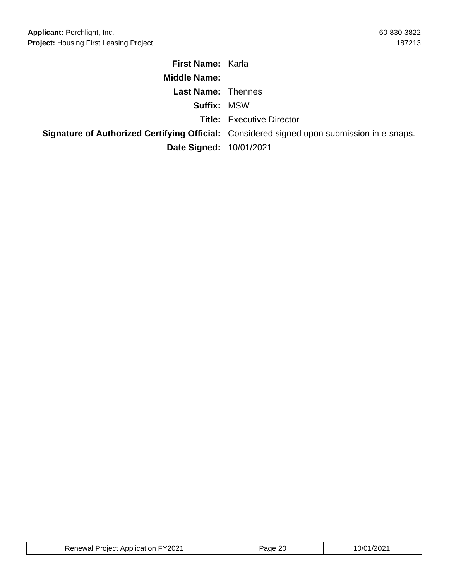| <b>First Name: Karla</b>       |                                                                                            |
|--------------------------------|--------------------------------------------------------------------------------------------|
| <b>Middle Name:</b>            |                                                                                            |
| <b>Last Name: Thennes</b>      |                                                                                            |
| <b>Suffix: MSW</b>             |                                                                                            |
|                                | <b>Title:</b> Executive Director                                                           |
|                                | Signature of Authorized Certifying Official: Considered signed upon submission in e-snaps. |
| <b>Date Signed: 10/01/2021</b> |                                                                                            |

| <b>Renewal Project Application FY2021</b> | age 20 | 10/01/2021 |
|-------------------------------------------|--------|------------|
|-------------------------------------------|--------|------------|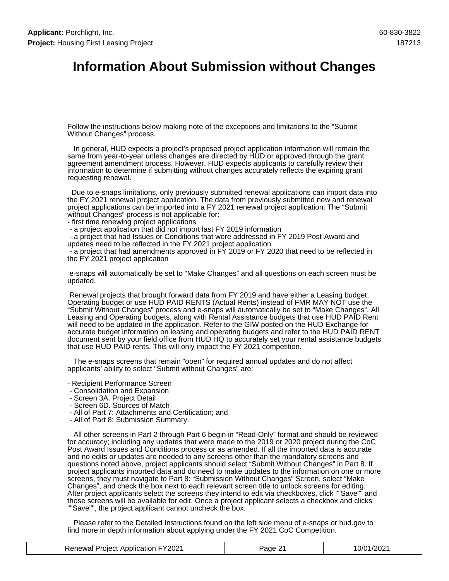## **Information About Submission without Changes**

Follow the instructions below making note of the exceptions and limitations to the "Submit Without Changes" process.

 In general, HUD expects a project's proposed project application information will remain the same from year-to-year unless changes are directed by HUD or approved through the grant agreement amendment process. However, HUD expects applicants to carefully review their information to determine if submitting without changes accurately reflects the expiring grant requesting renewal.

 Due to e-snaps limitations, only previously submitted renewal applications can import data into the FY 2021 renewal project application. The data from previously submitted new and renewal project applications can be imported into a FY 2021 renewal project application. The "Submit without Changes" process is not applicable for:

- first time renewing project applications
- a project application that did not import last FY 2019 information

 - a project that had Issues or Conditions that were addressed in FY 2019 Post-Award and updates need to be reflected in the FY 2021 project application

 - a project that had amendments approved in FY 2019 or FY 2020 that need to be reflected in the FY 2021 project application

 e-snaps will automatically be set to "Make Changes" and all questions on each screen must be updated.

 Renewal projects that brought forward data from FY 2019 and have either a Leasing budget, Operating budget or use HUD PAID RENTS (Actual Rents) instead of FMR MAY NOT use the "Submit Without Changes" process and e-snaps will automatically be set to "Make Changes". All Leasing and Operating budgets, along with Rental Assistance budgets that use HUD PAID Rent will need to be updated in the application. Refer to the GIW posted on the HUD Exchange for accurate budget information on leasing and operating budgets and refer to the HUD PAID RENT document sent by your field office from HUD HQ to accurately set your rental assistance budgets that use HUD PAID rents. This will only impact the FY 2021 competition.

 The e-snaps screens that remain "open" for required annual updates and do not affect applicants' ability to select "Submit without Changes" are:

- Recipient Performance Screen
- Consolidation and Expansion
- Screen 3A. Project Detail
- Screen 6D. Sources of Match
- All of Part 7: Attachments and Certification; and
- All of Part 8: Submission Summary.

 All other screens in Part 2 through Part 6 begin in "Read-Only" format and should be reviewed for accuracy; including any updates that were made to the 2019 or 2020 project during the CoC Post Award Issues and Conditions process or as amended. If all the imported data is accurate and no edits or updates are needed to any screens other than the mandatory screens and questions noted above, project applicants should select "Submit Without Changes" in Part 8. If project applicants imported data and do need to make updates to the information on one or more screens, they must navigate to Part 8: "Submission Without Changes" Screen, select "Make Changes", and check the box next to each relevant screen title to unlock screens for editing. After project applicants select the screens they intend to edit via checkboxes, click ""Save"" and those screens will be available for edit. Once a project applicant selects a checkbox and clicks ""Save"", the project applicant cannot uncheck the box.

 Please refer to the Detailed Instructions found on the left side menu of e-snaps or hud.gov to find more in depth information about applying under the FY 2021 CoC Competition.

| <b>Renewal Project Application FY2021</b> | Page 21 | 10/01/2021 |
|-------------------------------------------|---------|------------|
|-------------------------------------------|---------|------------|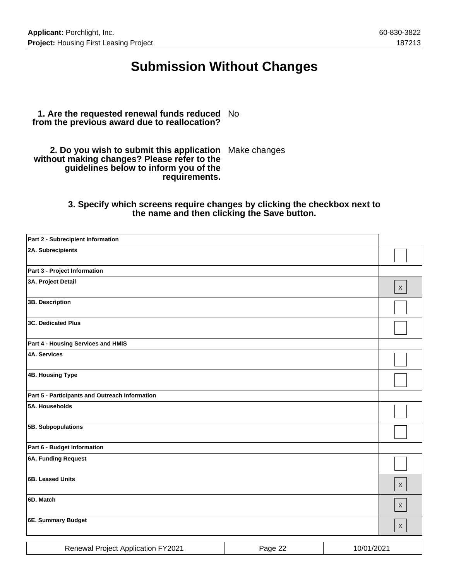## **Submission Without Changes**

#### **1. Are the requested renewal funds reduced** No **from the previous award due to reallocation?**

**2. Do you wish to submit this application** Make changes **without making changes? Please refer to the guidelines below to inform you of the requirements.**

#### **3. Specify which screens require changes by clicking the checkbox next to the name and then clicking the Save button.**

| Part 2 - Subrecipient Information              |         |            |              |
|------------------------------------------------|---------|------------|--------------|
| 2A. Subrecipients                              |         |            |              |
| Part 3 - Project Information                   |         |            |              |
| 3A. Project Detail                             |         |            | $\mathsf X$  |
| 3B. Description                                |         |            |              |
| <b>3C. Dedicated Plus</b>                      |         |            |              |
| Part 4 - Housing Services and HMIS             |         |            |              |
| <b>4A. Services</b>                            |         |            |              |
| 4B. Housing Type                               |         |            |              |
| Part 5 - Participants and Outreach Information |         |            |              |
| 5A. Households                                 |         |            |              |
| 5B. Subpopulations                             |         |            |              |
| Part 6 - Budget Information                    |         |            |              |
| <b>6A. Funding Request</b>                     |         |            |              |
| 6B. Leased Units                               |         |            | $\mathsf{X}$ |
| 6D. Match                                      |         |            | $\mathsf{X}$ |
| 6E. Summary Budget                             |         |            | $\mathsf{X}$ |
| Renewal Project Application FY2021             | Page 22 | 10/01/2021 |              |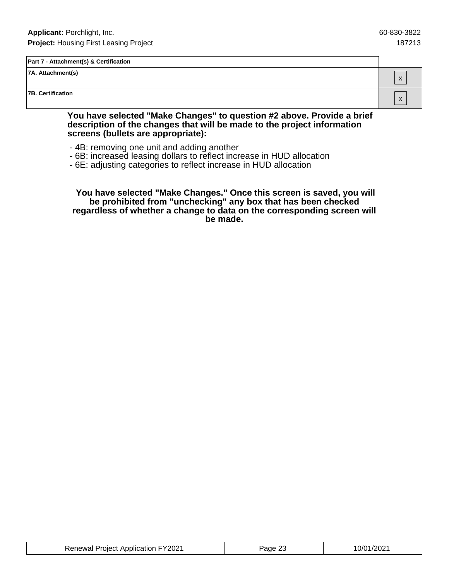X

X

#### **Part 7 - Attachment(s) & Certification**

**7A. Attachment(s)**

**7B. Certification**

#### **You have selected "Make Changes" to question #2 above. Provide a brief description of the changes that will be made to the project information screens (bullets are appropriate):**

- 4B: removing one unit and adding another
- 6B: increased leasing dollars to reflect increase in HUD allocation
- 6E: adjusting categories to reflect increase in HUD allocation

 **You have selected "Make Changes." Once this screen is saved, you will be prohibited from "unchecking" any box that has been checked regardless of whether a change to data on the corresponding screen will be made.**

| <b>Renewal Project Application FY2021</b> | Page 23 | 10/01/2021 |
|-------------------------------------------|---------|------------|
|-------------------------------------------|---------|------------|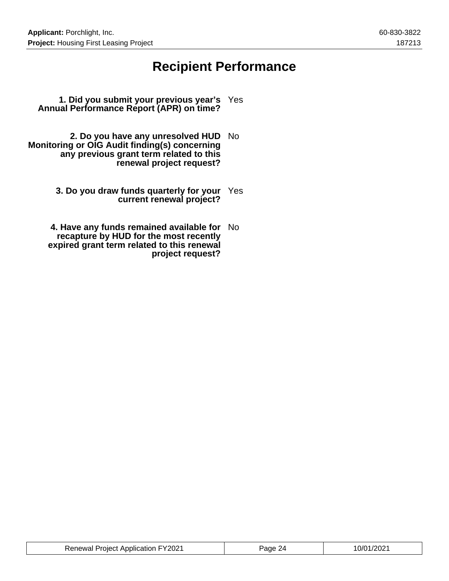## **Recipient Performance**

- **1. Did you submit your previous year's** Yes **Annual Performance Report (APR) on time?**
- **2. Do you have any unresolved HUD** No **Monitoring or OIG Audit finding(s) concerning any previous grant term related to this renewal project request?**
	- **3. Do you draw funds quarterly for your** Yes **current renewal project?**
	- **4. Have any funds remained available for** No **recapture by HUD for the most recently expired grant term related to this renewal project request?**

| <b>Renewal Project Application FY2021</b> | Page 24 | 10/01/2021 |
|-------------------------------------------|---------|------------|
|-------------------------------------------|---------|------------|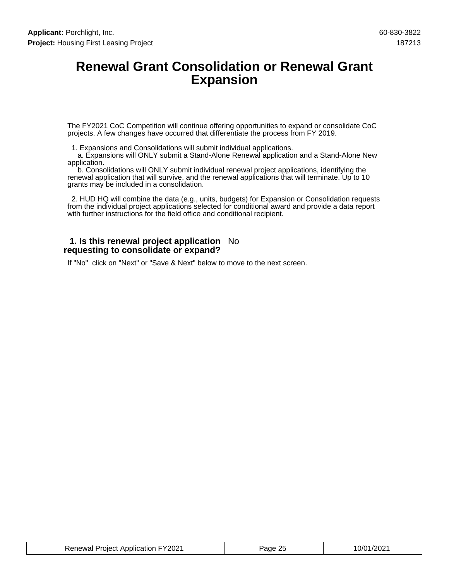### **Renewal Grant Consolidation or Renewal Grant Expansion**

The FY2021 CoC Competition will continue offering opportunities to expand or consolidate CoC projects. A few changes have occurred that differentiate the process from FY 2019.

1. Expansions and Consolidations will submit individual applications.

 a. Expansions will ONLY submit a Stand-Alone Renewal application and a Stand-Alone New application.

 b. Consolidations will ONLY submit individual renewal project applications, identifying the renewal application that will survive, and the renewal applications that will terminate. Up to 10 grants may be included in a consolidation.

 2. HUD HQ will combine the data (e.g., units, budgets) for Expansion or Consolidation requests from the individual project applications selected for conditional award and provide a data report with further instructions for the field office and conditional recipient.

#### **1. Is this renewal project application** No **requesting to consolidate or expand?**

If "No" click on "Next" or "Save & Next" below to move to the next screen.

| <b>Renewal Project Application FY2021</b> | Page 25 | 10/01/2021 |
|-------------------------------------------|---------|------------|
|-------------------------------------------|---------|------------|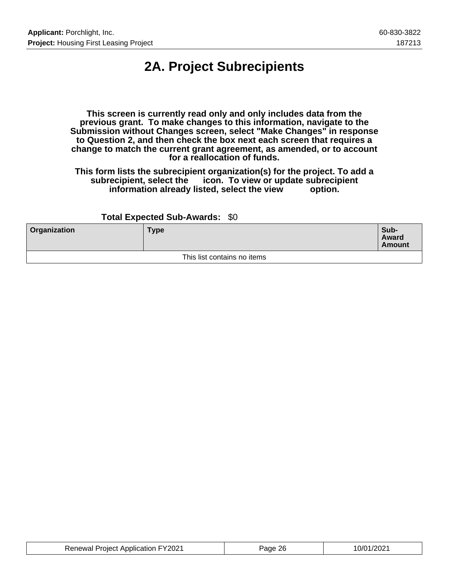# **2A. Project Subrecipients**

**This screen is currently read only and only includes data from the previous grant. To make changes to this information, navigate to the Submission without Changes screen, select "Make Changes" in response to Question 2, and then check the box next each screen that requires a change to match the current grant agreement, as amended, or to account for a reallocation of funds.**

**This form lists the subrecipient organization(s) for the project. To add a subrecipient, select the icon. To view or update subrecipient** information already listed, select the view

#### **Total Expected Sub-Awards:** \$0

| <b>Organization</b> | <b>Type</b>                 | Sub-<br>Award<br><b>Amount</b> |
|---------------------|-----------------------------|--------------------------------|
|                     | This list contains no items |                                |

| <b>Renewal Project Application FY2021</b> | Page 26 | 10/01/2021 |
|-------------------------------------------|---------|------------|
|-------------------------------------------|---------|------------|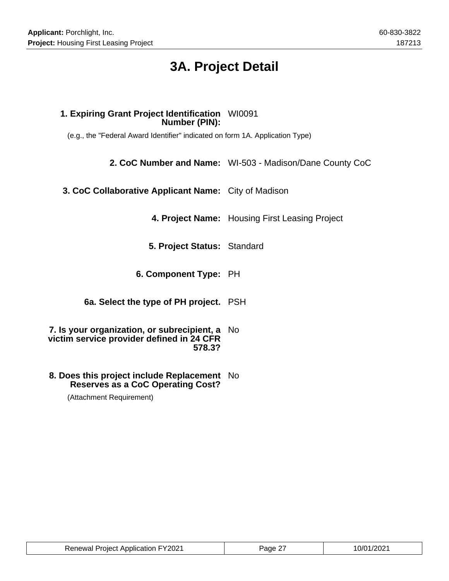# **3A. Project Detail**

### **1. Expiring Grant Project Identification** WI0091 **Number (PIN):**

(e.g., the "Federal Award Identifier" indicated on form 1A. Application Type)

**2. CoC Number and Name:** WI-503 - Madison/Dane County CoC

**3. CoC Collaborative Applicant Name:** City of Madison

**4. Project Name:** Housing First Leasing Project

- **5. Project Status:** Standard
- **6. Component Type:** PH

**6a. Select the type of PH project.** PSH

- **7. Is your organization, or subrecipient, a** No **victim service provider defined in 24 CFR 578.3?**
- **8. Does this project include Replacement** No **Reserves as a CoC Operating Cost?**

(Attachment Requirement)

| <b>Renewal Project Application FY2021</b> | Page 27 | 10/01/2021 |
|-------------------------------------------|---------|------------|
|-------------------------------------------|---------|------------|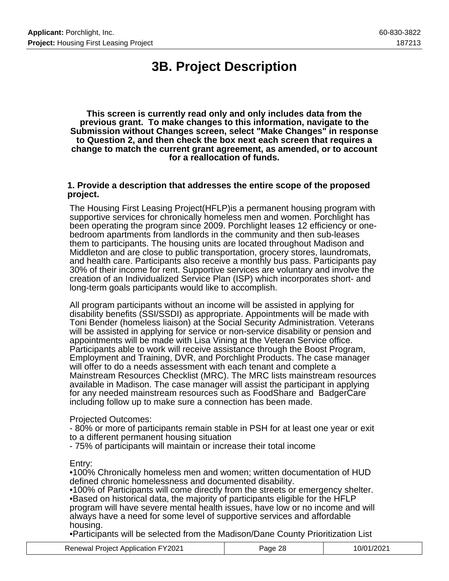# **3B. Project Description**

**This screen is currently read only and only includes data from the previous grant. To make changes to this information, navigate to the Submission without Changes screen, select "Make Changes" in response to Question 2, and then check the box next each screen that requires a change to match the current grant agreement, as amended, or to account for a reallocation of funds.**

#### **1. Provide a description that addresses the entire scope of the proposed project.**

The Housing First Leasing Project(HFLP)is a permanent housing program with supportive services for chronically homeless men and women. Porchlight has been operating the program since 2009. Porchlight leases 12 efficiency or onebedroom apartments from landlords in the community and then sub-leases them to participants. The housing units are located throughout Madison and Middleton and are close to public transportation, grocery stores, laundromats, and health care. Participants also receive a monthly bus pass. Participants pay 30% of their income for rent. Supportive services are voluntary and involve the creation of an Individualized Service Plan (ISP) which incorporates short- and long-term goals participants would like to accomplish.

All program participants without an income will be assisted in applying for disability benefits (SSI/SSDI) as appropriate. Appointments will be made with Toni Bender (homeless liaison) at the Social Security Administration. Veterans will be assisted in applying for service or non-service disability or pension and appointments will be made with Lisa Vining at the Veteran Service office. Participants able to work will receive assistance through the Boost Program, Employment and Training, DVR, and Porchlight Products. The case manager will offer to do a needs assessment with each tenant and complete a Mainstream Resources Checklist (MRC). The MRC lists mainstream resources available in Madison. The case manager will assist the participant in applying for any needed mainstream resources such as FoodShare and BadgerCare including follow up to make sure a connection has been made.

#### Projected Outcomes:

- 80% or more of participants remain stable in PSH for at least one year or exit to a different permanent housing situation

- 75% of participants will maintain or increase their total income

Entry:

•100% Chronically homeless men and women; written documentation of HUD defined chronic homelessness and documented disability.

•100% of Participants will come directly from the streets or emergency shelter. •Based on historical data, the majority of participants eligible for the HFLP program will have severe mental health issues, have low or no income and will always have a need for some level of supportive services and affordable housing.

•Participants will be selected from the Madison/Dane County Prioritization List

| <b>Renewal Project Application FY2021</b> | Page 28 | 10/01/2021 |
|-------------------------------------------|---------|------------|
|-------------------------------------------|---------|------------|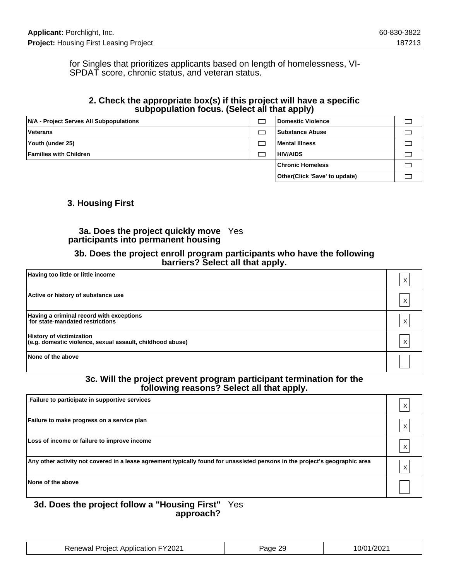for Singles that prioritizes applicants based on length of homelessness, VI-SPDAT score, chronic status, and veteran status.

### **2. Check the appropriate box(s) if this project will have a specific subpopulation focus. (Select all that apply)**

| N/A - Project Serves All Subpopulations | Domestic Violence             |  |
|-----------------------------------------|-------------------------------|--|
| Veterans                                | <b>Substance Abuse</b>        |  |
| Youth (under 25)                        | Mental Illness                |  |
| <b>Families with Children</b>           | <b>HIV/AIDS</b>               |  |
|                                         | <b>Chronic Homeless</b>       |  |
|                                         | Other(Click 'Save' to update) |  |

### **3. Housing First**

### **3a. Does the project quickly move** Yes **participants into permanent housing**

#### **3b. Does the project enroll program participants who have the following barriers? Select all that apply.**

| Having too little or little income                                                           | Х |
|----------------------------------------------------------------------------------------------|---|
| Active or history of substance use                                                           | Х |
| Having a criminal record with exceptions<br>for state-mandated restrictions                  | Χ |
| <b>History of victimization</b><br>(e.g. domestic violence, sexual assault, childhood abuse) | Χ |
| None of the above                                                                            |   |

#### **3c. Will the project prevent program participant termination for the following reasons? Select all that apply.**

| Failure to participate in supportive services                                                                               | $\lambda$ |
|-----------------------------------------------------------------------------------------------------------------------------|-----------|
| Failure to make progress on a service plan                                                                                  |           |
| Loss of income or failure to improve income                                                                                 |           |
| Any other activity not covered in a lease agreement typically found for unassisted persons in the project's geographic area | ⋏         |
| None of the above                                                                                                           |           |

#### **3d. Does the project follow a "Housing First"** Yes **approach?**

| <b>Renewal Project Application FY2021</b> | Page 29 | 10/01/2021 |
|-------------------------------------------|---------|------------|
|-------------------------------------------|---------|------------|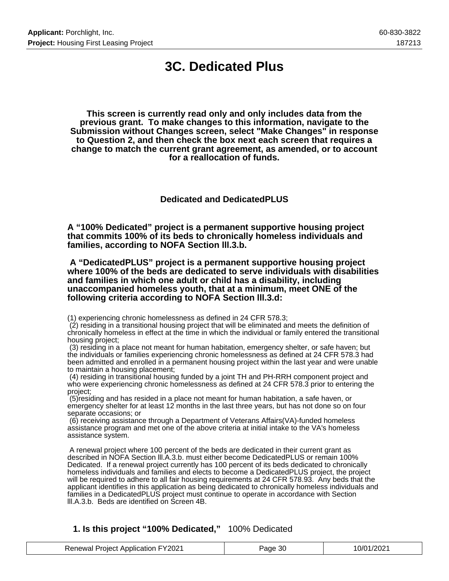## **3C. Dedicated Plus**

**This screen is currently read only and only includes data from the previous grant. To make changes to this information, navigate to the Submission without Changes screen, select "Make Changes" in response to Question 2, and then check the box next each screen that requires a change to match the current grant agreement, as amended, or to account for a reallocation of funds.**

**Dedicated and DedicatedPLUS**

**A "100% Dedicated" project is a permanent supportive housing project that commits 100% of its beds to chronically homeless individuals and families, according to NOFA Section lll.3.b.**

 **A "DedicatedPLUS" project is a permanent supportive housing project where 100% of the beds are dedicated to serve individuals with disabilities and families in which one adult or child has a disability, including unaccompanied homeless youth, that at a minimum, meet ONE of the following criteria according to NOFA Section lll.3.d:**

(1) experiencing chronic homelessness as defined in 24 CFR 578.3;

 (2) residing in a transitional housing project that will be eliminated and meets the definition of chronically homeless in effect at the time in which the individual or family entered the transitional housing project;

 (3) residing in a place not meant for human habitation, emergency shelter, or safe haven; but the individuals or families experiencing chronic homelessness as defined at 24 CFR 578.3 had been admitted and enrolled in a permanent housing project within the last year and were unable to maintain a housing placement;

 (4) residing in transitional housing funded by a joint TH and PH-RRH component project and who were experiencing chronic homelessness as defined at 24 CFR 578.3 prior to entering the project;

 (5)residing and has resided in a place not meant for human habitation, a safe haven, or emergency shelter for at least 12 months in the last three years, but has not done so on four separate occasions; or

 (6) receiving assistance through a Department of Veterans Affairs(VA)-funded homeless assistance program and met one of the above criteria at initial intake to the VA's homeless assistance system.

 A renewal project where 100 percent of the beds are dedicated in their current grant as described in NOFA Section lll.A.3.b. must either become DedicatedPLUS or remain 100% Dedicated. If a renewal project currently has 100 percent of its beds dedicated to chronically homeless individuals and families and elects to become a DedicatedPLUS project, the project will be required to adhere to all fair housing requirements at 24 CFR 578.93. Any beds that the applicant identifies in this application as being dedicated to chronically homeless individuals and families in a DedicatedPLUS project must continue to operate in accordance with Section lll.A.3.b. Beds are identified on Screen 4B.

#### **1. Is this project "100% Dedicated,"** 100% Dedicated

| <b>Renewal Project Application FY2021</b> | Page 30 | 10/01/2021 |
|-------------------------------------------|---------|------------|
|-------------------------------------------|---------|------------|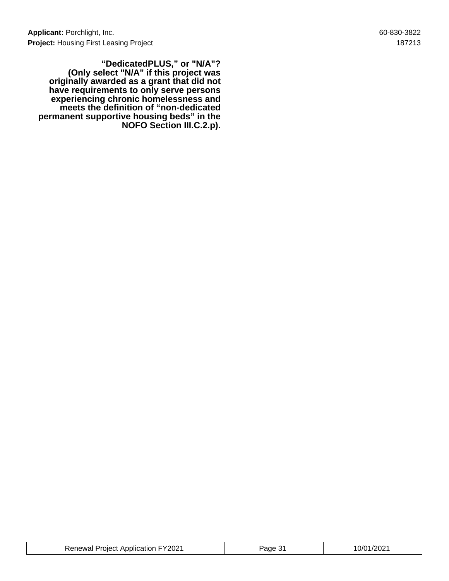**"DedicatedPLUS," or "N/A"? (Only select "N/A" if this project was originally awarded as a grant that did not have requirements to only serve persons experiencing chronic homelessness and meets the definition of "non-dedicated permanent supportive housing beds" in the NOFO Section III.C.2.p).**

| <b>Renewal Project Application FY2021</b> | age | 10/01/2021 |
|-------------------------------------------|-----|------------|
|-------------------------------------------|-----|------------|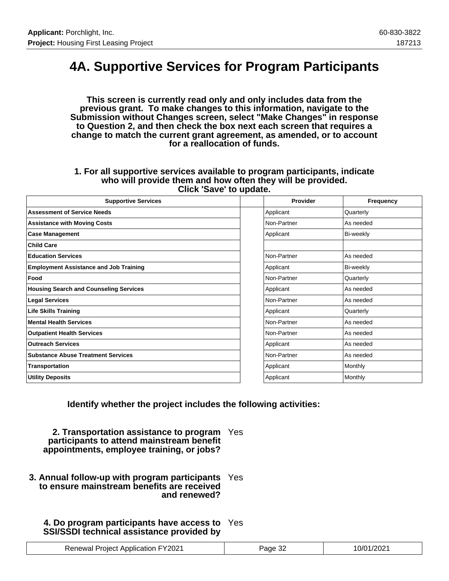## **4A. Supportive Services for Program Participants**

**This screen is currently read only and only includes data from the previous grant. To make changes to this information, navigate to the Submission without Changes screen, select "Make Changes" in response to Question 2, and then check the box next each screen that requires a change to match the current grant agreement, as amended, or to account for a reallocation of funds.**

#### **1. For all supportive services available to program participants, indicate who will provide them and how often they will be provided. Click 'Save' to update.**

| <b>Supportive Services</b>                    | Provider    | Frequency |
|-----------------------------------------------|-------------|-----------|
| <b>Assessment of Service Needs</b>            | Applicant   | Quarterly |
| <b>Assistance with Moving Costs</b>           | Non-Partner | As needed |
| <b>Case Management</b>                        | Applicant   | Bi-weekly |
| <b>Child Care</b>                             |             |           |
| <b>Education Services</b>                     | Non-Partner | As needed |
| <b>Employment Assistance and Job Training</b> | Applicant   | Bi-weekly |
| Food                                          | Non-Partner | Quarterly |
| <b>Housing Search and Counseling Services</b> | Applicant   | As needed |
| <b>Legal Services</b>                         | Non-Partner | As needed |
| <b>Life Skills Training</b>                   | Applicant   | Quarterly |
| <b>Mental Health Services</b>                 | Non-Partner | As needed |
| <b>Outpatient Health Services</b>             | Non-Partner | As needed |
| <b>Outreach Services</b>                      | Applicant   | As needed |
| <b>Substance Abuse Treatment Services</b>     | Non-Partner | As needed |
| Transportation                                | Applicant   | Monthly   |
| <b>Utility Deposits</b>                       | Applicant   | Monthly   |

**Identify whether the project includes the following activities:**

**2. Transportation assistance to program** Yes **participants to attend mainstream benefit appointments, employee training, or jobs?**

**3. Annual follow-up with program participants** Yes **to ensure mainstream benefits are received and renewed?**

### **4. Do program participants have access to** Yes **SSI/SSDI technical assistance provided by**

| <b>Renewal Project Application FY2021</b> | Page 32 | 10/01/2021 |
|-------------------------------------------|---------|------------|
|-------------------------------------------|---------|------------|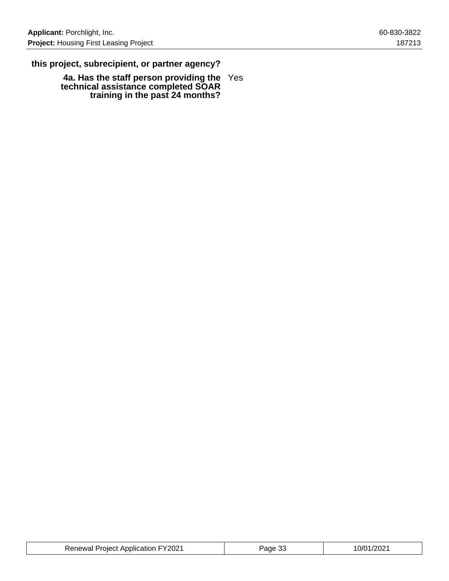### **this project, subrecipient, or partner agency?**

**4a. Has the staff person providing the technical assistance completed SOAR training in the past 24 months?** Yes

| <b>Renewal Project Application FY2021</b> | Page 33 | 10/01/2021 |
|-------------------------------------------|---------|------------|
|-------------------------------------------|---------|------------|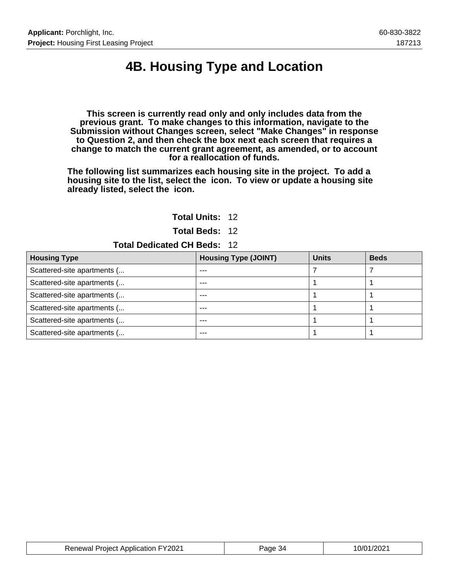# **4B. Housing Type and Location**

**This screen is currently read only and only includes data from the previous grant. To make changes to this information, navigate to the Submission without Changes screen, select "Make Changes" in response to Question 2, and then check the box next each screen that requires a change to match the current grant agreement, as amended, or to account for a reallocation of funds.**

**The following list summarizes each housing site in the project. To add a housing site to the list, select the icon. To view or update a housing site already listed, select the icon.**

#### **Total Units:** 12

**Total Beds:** 12

#### **Total Dedicated CH Beds:** 12

| <b>Housing Type</b>         | <b>Housing Type (JOINT)</b> | <b>Units</b> | <b>Beds</b> |
|-----------------------------|-----------------------------|--------------|-------------|
| Scattered-site apartments ( |                             |              |             |
| Scattered-site apartments ( | ---                         |              |             |
| Scattered-site apartments ( | ---                         |              |             |
| Scattered-site apartments ( | ---                         |              |             |
| Scattered-site apartments ( |                             |              |             |
| Scattered-site apartments ( | ---                         |              |             |

| <b>Renewal Project Application FY2021</b> | Page 34 | 10/01/2021 |
|-------------------------------------------|---------|------------|
|-------------------------------------------|---------|------------|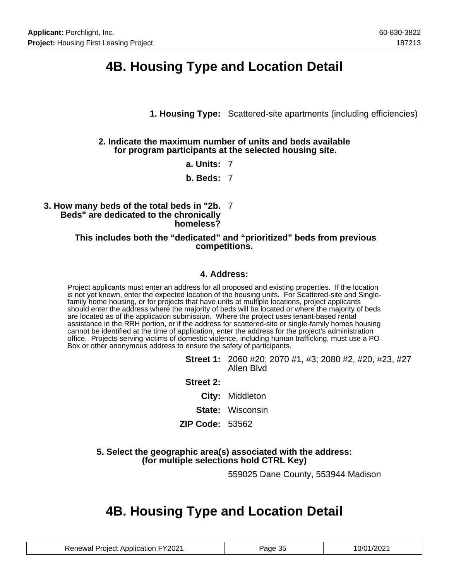## **4B. Housing Type and Location Detail**

**1. Housing Type:** Scattered-site apartments (including efficiencies)

#### **2. Indicate the maximum number of units and beds available for program participants at the selected housing site.**

**a. Units:** 7

**b. Beds:** 7

#### **3. How many beds of the total beds in "2b.** 7 **Beds" are dedicated to the chronically homeless?**

#### **This includes both the "dedicated" and "prioritized" beds from previous competitions.**

### **4. Address:**

Project applicants must enter an address for all proposed and existing properties. If the location is not yet known, enter the expected location of the housing units. For Scattered-site and Singlefamily home housing, or for projects that have units at multiple locations, project applicants should enter the address where the majority of beds will be located or where the majority of beds are located as of the application submission. Where the project uses tenant-based rental assistance in the RRH portion, or if the address for scattered-site or single-family homes housing cannot be identified at the time of application, enter the address for the project's administration office. Projects serving victims of domestic violence, including human trafficking, must use a PO Box or other anonymous address to ensure the safety of participants.

- **Street 1:** 2060 #20; 2070 #1, #3; 2080 #2, #20, #23, #27 Allen Blvd
- **Street 2:**
	- **City:** Middleton
	- **State:** Wisconsin
- **ZIP Code:** 53562

#### **5. Select the geographic area(s) associated with the address: (for multiple selections hold CTRL Key)**

559025 Dane County, 553944 Madison

## **4B. Housing Type and Location Detail**

| <b>Renewal Project Application FY2021</b> | Page 35 | 10/01/2021 |
|-------------------------------------------|---------|------------|
|-------------------------------------------|---------|------------|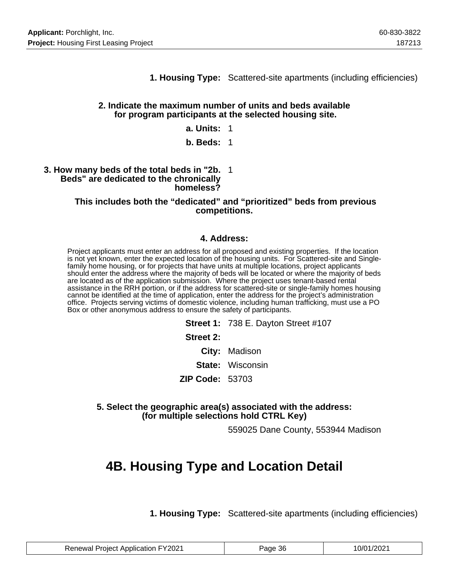**1. Housing Type:** Scattered-site apartments (including efficiencies)

#### **2. Indicate the maximum number of units and beds available for program participants at the selected housing site.**

#### **a. Units:** 1

#### **b. Beds:** 1

#### **3. How many beds of the total beds in "2b.** 1 **Beds" are dedicated to the chronically homeless?**

#### **This includes both the "dedicated" and "prioritized" beds from previous competitions.**

#### **4. Address:**

Project applicants must enter an address for all proposed and existing properties. If the location is not yet known, enter the expected location of the housing units. For Scattered-site and Singlefamily home housing, or for projects that have units at multiple locations, project applicants should enter the address where the majority of beds will be located or where the majority of beds are located as of the application submission. Where the project uses tenant-based rental assistance in the RRH portion, or if the address for scattered-site or single-family homes housing cannot be identified at the time of application, enter the address for the project's administration office. Projects serving victims of domestic violence, including human trafficking, must use a PO Box or other anonymous address to ensure the safety of participants.

> **Street 1:** 738 E. Dayton Street #107 **Street 2: City:** Madison **State:** Wisconsin **ZIP Code:** 53703

**5. Select the geographic area(s) associated with the address: (for multiple selections hold CTRL Key)**

559025 Dane County, 553944 Madison

### **4B. Housing Type and Location Detail**

**1. Housing Type:** Scattered-site apartments (including efficiencies)

| <b>Renewal Project Application FY2021</b> | Page 36 | 10/01/2021 |
|-------------------------------------------|---------|------------|
|-------------------------------------------|---------|------------|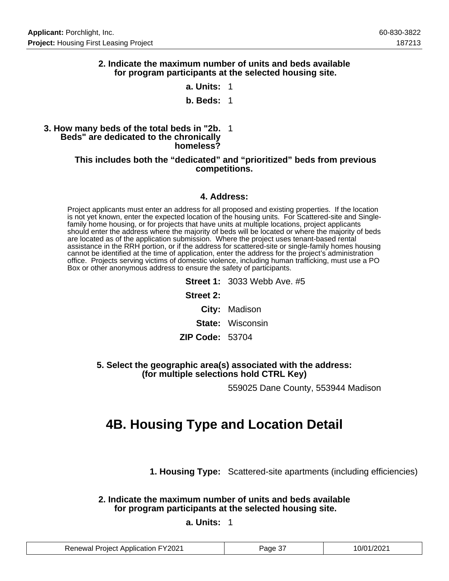#### **2. Indicate the maximum number of units and beds available for program participants at the selected housing site.**

**a. Units:** 1

#### **b. Beds:** 1

#### **3. How many beds of the total beds in "2b.** 1 **Beds" are dedicated to the chronically homeless?**

#### **This includes both the "dedicated" and "prioritized" beds from previous competitions.**

#### **4. Address:**

Project applicants must enter an address for all proposed and existing properties. If the location is not yet known, enter the expected location of the housing units. For Scattered-site and Singlefamily home housing, or for projects that have units at multiple locations, project applicants should enter the address where the majority of beds will be located or where the majority of beds are located as of the application submission. Where the project uses tenant-based rental assistance in the RRH portion, or if the address for scattered-site or single-family homes housing cannot be identified at the time of application, enter the address for the project's administration office. Projects serving victims of domestic violence, including human trafficking, must use a PO Box or other anonymous address to ensure the safety of participants.

> **Street 1:** 3033 Webb Ave. #5 **Street 2: City:** Madison **State:** Wisconsin **ZIP Code:** 53704

#### **5. Select the geographic area(s) associated with the address: (for multiple selections hold CTRL Key)**

559025 Dane County, 553944 Madison

## **4B. Housing Type and Location Detail**

**1. Housing Type:** Scattered-site apartments (including efficiencies)

**2. Indicate the maximum number of units and beds available for program participants at the selected housing site.**

#### **a. Units:** 1

| <b>Renewal Project Application FY2021</b> | Page 37 | 10/01/2021 |
|-------------------------------------------|---------|------------|
|-------------------------------------------|---------|------------|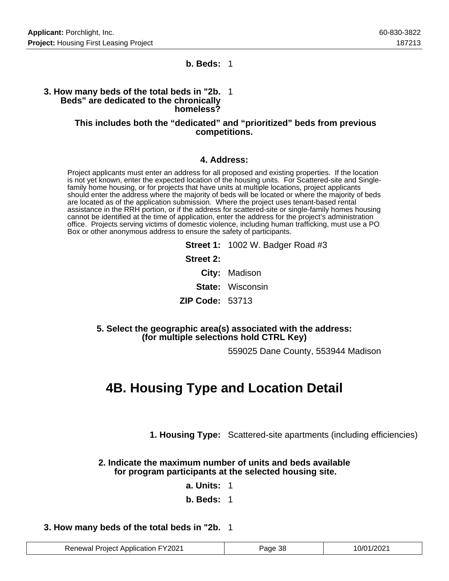#### **b. Beds:** 1

#### **3. How many beds of the total beds in "2b.** 1 **Beds" are dedicated to the chronically homeless?**

#### **This includes both the "dedicated" and "prioritized" beds from previous competitions.**

#### **4. Address:**

Project applicants must enter an address for all proposed and existing properties. If the location is not yet known, enter the expected location of the housing units. For Scattered-site and Singlefamily home housing, or for projects that have units at multiple locations, project applicants should enter the address where the majority of beds will be located or where the majority of beds are located as of the application submission. Where the project uses tenant-based rental assistance in the RRH portion, or if the address for scattered-site or single-family homes housing cannot be identified at the time of application, enter the address for the project's administration office. Projects serving victims of domestic violence, including human trafficking, must use a PO Box or other anonymous address to ensure the safety of participants.

|                 | Street 1: 1002 W. Badger Road #3 |
|-----------------|----------------------------------|
| Street 2:       |                                  |
|                 | City: Madison                    |
|                 | <b>State: Wisconsin</b>          |
| ZIP Code: 53713 |                                  |
|                 |                                  |

#### **5. Select the geographic area(s) associated with the address: (for multiple selections hold CTRL Key)**

559025 Dane County, 553944 Madison

## **4B. Housing Type and Location Detail**

**1. Housing Type:** Scattered-site apartments (including efficiencies)

#### **2. Indicate the maximum number of units and beds available for program participants at the selected housing site.**

**a. Units:** 1

**b. Beds:** 1

#### **3. How many beds of the total beds in "2b.** 1

| <b>Renewal Project Application FY2021</b> | Page 38 | 10/01/2021 |
|-------------------------------------------|---------|------------|
|-------------------------------------------|---------|------------|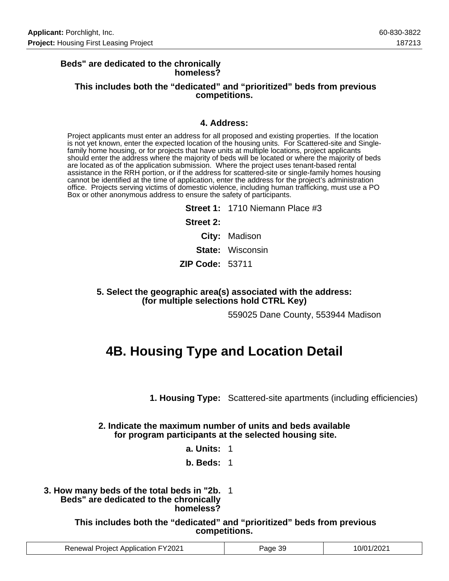#### **Beds" are dedicated to the chronically homeless?**

#### **This includes both the "dedicated" and "prioritized" beds from previous competitions.**

#### **4. Address:**

Project applicants must enter an address for all proposed and existing properties. If the location is not yet known, enter the expected location of the housing units. For Scattered-site and Singlefamily home housing, or for projects that have units at multiple locations, project applicants should enter the address where the majority of beds will be located or where the majority of beds are located as of the application submission. Where the project uses tenant-based rental assistance in the RRH portion, or if the address for scattered-site or single-family homes housing cannot be identified at the time of application, enter the address for the project's administration office. Projects serving victims of domestic violence, including human trafficking, must use a PO Box or other anonymous address to ensure the safety of participants.

> **Street 1:** 1710 Niemann Place #3 **Street 2: City:** Madison **State:** Wisconsin **ZIP Code:** 53711

**5. Select the geographic area(s) associated with the address: (for multiple selections hold CTRL Key)**

559025 Dane County, 553944 Madison

## **4B. Housing Type and Location Detail**

**1. Housing Type:** Scattered-site apartments (including efficiencies)

#### **2. Indicate the maximum number of units and beds available for program participants at the selected housing site.**

**a. Units:** 1

#### **b. Beds:** 1

**3. How many beds of the total beds in "2b.** 1 **Beds" are dedicated to the chronically homeless?**

> **This includes both the "dedicated" and "prioritized" beds from previous competitions.**

| uon FY2021 جنوب<br>Renewal<br>Project<br>: Applicatic | 39<br>Page | /202<br>n/c |
|-------------------------------------------------------|------------|-------------|
|-------------------------------------------------------|------------|-------------|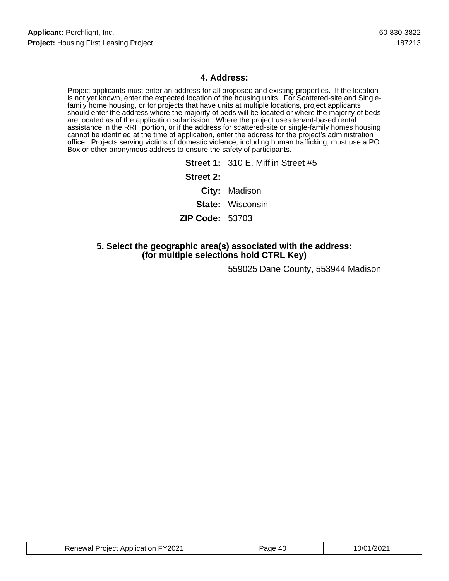### **4. Address:**

Project applicants must enter an address for all proposed and existing properties. If the location is not yet known, enter the expected location of the housing units. For Scattered-site and Singlefamily home housing, or for projects that have units at multiple locations, project applicants should enter the address where the majority of beds will be located or where the majority of beds are located as of the application submission. Where the project uses tenant-based rental assistance in the RRH portion, or if the address for scattered-site or single-family homes housing cannot be identified at the time of application, enter the address for the project's administration office. Projects serving victims of domestic violence, including human trafficking, must use a PO Box or other anonymous address to ensure the safety of participants.

|                        | <b>Street 1: 310 E. Mifflin Street #5</b> |
|------------------------|-------------------------------------------|
| Street 2:              |                                           |
|                        | City: Madison                             |
|                        | <b>State:</b> Wisconsin                   |
| <b>ZIP Code: 53703</b> |                                           |
|                        |                                           |

### **5. Select the geographic area(s) associated with the address: (for multiple selections hold CTRL Key)**

559025 Dane County, 553944 Madison

| <b>Renewal Project Application FY2021</b> | Page 40 | 10/01/2021 |
|-------------------------------------------|---------|------------|
|-------------------------------------------|---------|------------|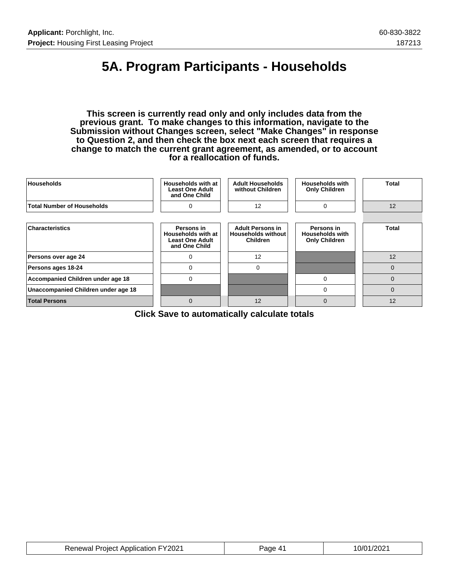# **5A. Program Participants - Households**

**This screen is currently read only and only includes data from the previous grant. To make changes to this information, navigate to the Submission without Changes screen, select "Make Changes" in response to Question 2, and then check the box next each screen that requires a change to match the current grant agreement, as amended, or to account for a reallocation of funds.**

| <b>Households</b>                   | Households with at<br><b>Least One Adult</b><br>and One Child               | <b>Adult Households</b><br>without Children                             | <b>Households with</b><br><b>Only Children</b>               | Total        |
|-------------------------------------|-----------------------------------------------------------------------------|-------------------------------------------------------------------------|--------------------------------------------------------------|--------------|
| <b>Total Number of Households</b>   | $\Omega$                                                                    | 12                                                                      | $\Omega$                                                     | 12           |
|                                     |                                                                             |                                                                         |                                                              |              |
| <b>Characteristics</b>              | Persons in<br>Households with at<br><b>Least One Adult</b><br>and One Child | <b>Adult Persons in</b><br><b>Households without</b><br><b>Children</b> | Persons in<br><b>Households with</b><br><b>Only Children</b> | <b>Total</b> |
| Persons over age 24                 | $\Omega$                                                                    | 12                                                                      |                                                              | 12           |
| Persons ages 18-24                  | $\mathbf 0$                                                                 | $\mathbf 0$                                                             |                                                              | $\mathbf 0$  |
| Accompanied Children under age 18   | 0                                                                           |                                                                         | 0                                                            | 0            |
| Unaccompanied Children under age 18 |                                                                             |                                                                         | 0                                                            | $\Omega$     |
| <b>Total Persons</b>                | $\Omega$                                                                    | 12                                                                      | $\mathbf 0$                                                  | 12           |

**Click Save to automatically calculate totals**

| <b>Renewal Project Application FY2021</b> | Page 41 | 10/01/2021 |
|-------------------------------------------|---------|------------|
|-------------------------------------------|---------|------------|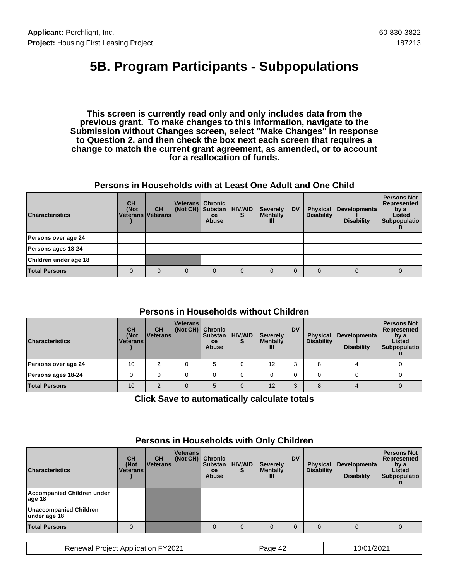## **5B. Program Participants - Subpopulations**

**This screen is currently read only and only includes data from the previous grant. To make changes to this information, navigate to the Submission without Changes screen, select "Make Changes" in response to Question 2, and then check the box next each screen that requires a change to match the current grant agreement, as amended, or to account for a reallocation of funds.**

#### **Persons in Households with at Least One Adult and One Child**

| <b>Characteristics</b> | <b>CH</b><br>(Not<br>Veterans   Veterans | <b>CH</b> | (Not CH) Substan | Veterans Chronic<br><sub>ce</sub><br><b>Abuse</b> | <b>HIV/AID</b><br>s | <b>Severely</b><br><b>Mentally</b><br>Ш | <b>DV</b> | <b>Physical</b><br><b>Disability</b> | Developmenta<br><b>Disability</b> | <b>Persons Not</b><br>Represented<br>by a<br>Listed<br>Subpopulatio |
|------------------------|------------------------------------------|-----------|------------------|---------------------------------------------------|---------------------|-----------------------------------------|-----------|--------------------------------------|-----------------------------------|---------------------------------------------------------------------|
| Persons over age 24    |                                          |           |                  |                                                   |                     |                                         |           |                                      |                                   |                                                                     |
| Persons ages 18-24     |                                          |           |                  |                                                   |                     |                                         |           |                                      |                                   |                                                                     |
| Children under age 18  |                                          |           |                  |                                                   |                     |                                         |           |                                      |                                   |                                                                     |
| <b>Total Persons</b>   | 0                                        | $\Omega$  | 0                | $\Omega$                                          | $\Omega$            |                                         |           |                                      |                                   |                                                                     |

### **Persons in Households without Children**

| <b>Characteristics</b> | <b>CH</b><br>(Not<br><b>Veterans</b> | <b>CH</b><br><b>IVeterans</b> | <b>Veterans</b><br>(Not CH) Chronic | <b>Substan</b><br><b>ce</b><br><b>Abuse</b> | <b>HIV/AID</b><br>S | <b>Severely</b><br><b>Mentally</b><br>ш | <b>DV</b> | <b>Physical</b><br><b>Disability</b> | Developmenta<br><b>Disability</b> | <b>Persons Not</b><br>Represented<br>by a<br>Listed<br>Subpopulatio |
|------------------------|--------------------------------------|-------------------------------|-------------------------------------|---------------------------------------------|---------------------|-----------------------------------------|-----------|--------------------------------------|-----------------------------------|---------------------------------------------------------------------|
| Persons over age 24    | 10                                   |                               |                                     | 5                                           |                     | 12                                      |           |                                      |                                   |                                                                     |
| Persons ages 18-24     |                                      |                               |                                     |                                             |                     |                                         |           |                                      |                                   |                                                                     |
| <b>Total Persons</b>   | 10                                   | $\Omega$                      |                                     | 5                                           |                     | 12                                      |           |                                      |                                   |                                                                     |

**Click Save to automatically calculate totals**

| <b>Characteristics</b>                        | <b>CH</b><br>(Not<br><b>Veterans</b> | <b>CH</b><br>∣Veterans I | <b>Veterans</b><br>(Not CH) | <b>Chronic</b><br><b>Substan</b><br>ce<br><b>Abuse</b> | <b>HIV/AID</b><br>S | <b>Severely</b><br><b>Mentally</b><br>Ш | <b>DV</b> | <b>Physical</b><br><b>Disability</b> | Developmenta<br><b>Disability</b> | <b>Persons Not</b><br>Represented<br>by a<br>Listed<br>Subpopulatio |
|-----------------------------------------------|--------------------------------------|--------------------------|-----------------------------|--------------------------------------------------------|---------------------|-----------------------------------------|-----------|--------------------------------------|-----------------------------------|---------------------------------------------------------------------|
| Accompanied Children under<br>aqe 18          |                                      |                          |                             |                                                        |                     |                                         |           |                                      |                                   |                                                                     |
| <b>Unaccompanied Children</b><br>under age 18 |                                      |                          |                             |                                                        |                     |                                         |           |                                      |                                   |                                                                     |
| <b>Total Persons</b>                          |                                      |                          |                             | $\Omega$                                               | $\Omega$            |                                         |           |                                      |                                   |                                                                     |

### **Persons in Households with Only Children**

Renewal Project Application FY2021 Page 42 10/01/2021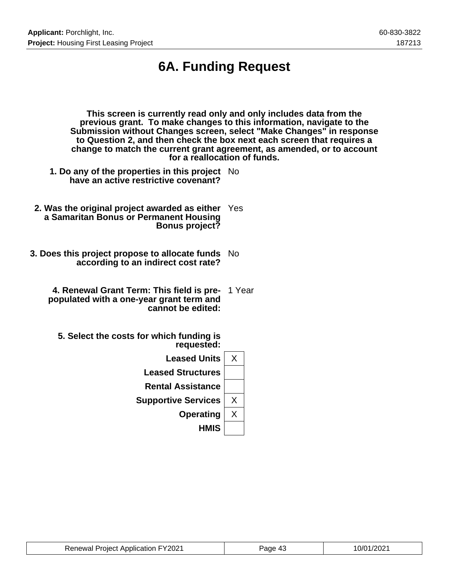# **6A. Funding Request**

| This screen is currently read only and only includes data from the<br>previous grant. To make changes to this information, navigate to the<br>Submission without Changes screen, select "Make Changes" in response<br>to Question 2, and then check the box next each screen that requires a<br>for a reallocation of funds. | change to match the current grant agreement, as amended, or to account |
|------------------------------------------------------------------------------------------------------------------------------------------------------------------------------------------------------------------------------------------------------------------------------------------------------------------------------|------------------------------------------------------------------------|
| 1. Do any of the properties in this project No<br>have an active restrictive covenant?                                                                                                                                                                                                                                       |                                                                        |
| 2. Was the original project awarded as either<br>a Samaritan Bonus or Permanent Housing<br><b>Bonus project?</b>                                                                                                                                                                                                             | Yes                                                                    |
| 3. Does this project propose to allocate funds No<br>according to an indirect cost rate?                                                                                                                                                                                                                                     |                                                                        |
| 4. Renewal Grant Term: This field is pre-<br>populated with a one-year grant term and<br>cannot be edited:                                                                                                                                                                                                                   | 1 Year                                                                 |
| 5. Select the costs for which funding is<br>requested:                                                                                                                                                                                                                                                                       |                                                                        |
| <b>Leased Units</b>                                                                                                                                                                                                                                                                                                          | X                                                                      |
| <b>Leased Structures</b>                                                                                                                                                                                                                                                                                                     |                                                                        |
| <b>Rental Assistance</b>                                                                                                                                                                                                                                                                                                     |                                                                        |
| <b>Supportive Services</b>                                                                                                                                                                                                                                                                                                   | X                                                                      |

**Operating** X **HMIS**

| <b>Renewal Project Application FY2021</b> | Page 43 | 10/01/2021 |
|-------------------------------------------|---------|------------|
|-------------------------------------------|---------|------------|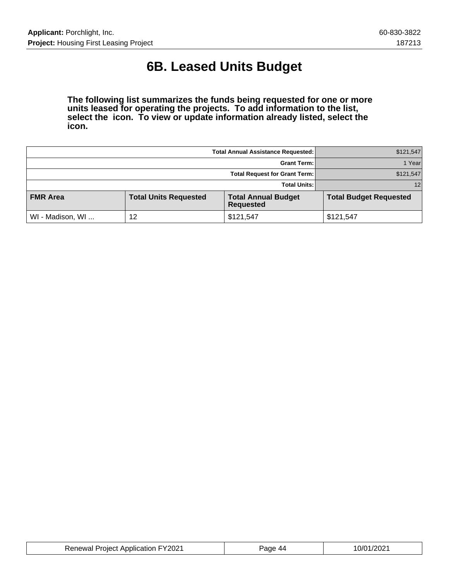# **6B. Leased Units Budget**

**The following list summarizes the funds being requested for one or more units leased for operating the projects. To add information to the list, select the icon. To view or update information already listed, select the icon.**

|                  | \$121,547                    |                                                |                               |
|------------------|------------------------------|------------------------------------------------|-------------------------------|
|                  | 1 Yearl                      |                                                |                               |
|                  | \$121,547                    |                                                |                               |
|                  | <b>Total Units:</b>          | 12                                             |                               |
| <b>FMR Area</b>  | <b>Total Units Requested</b> | <b>Total Annual Budget</b><br><b>Requested</b> | <b>Total Budget Requested</b> |
| WI - Madison, WI | 12                           | \$121,547                                      | \$121,547                     |

| <b>Renewal Project Application FY2021</b> | Page 44 | 10/01/2021 |
|-------------------------------------------|---------|------------|
|-------------------------------------------|---------|------------|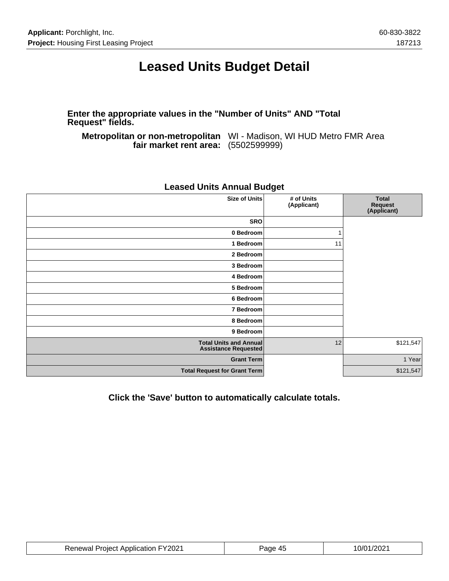## **Leased Units Budget Detail**

**Enter the appropriate values in the "Number of Units" AND "Total Request" fields.**

**Metropolitan or non-metropolitan** WI - Madison, WI HUD Metro FMR Area **fair market rent area:** (5502599999)

| <b>Size of Units</b><br># of Units<br><b>Total</b><br>(Applicant)<br>Request<br>(Applicant)<br><b>SRO</b><br>0 Bedroom<br>1 Bedroom<br>11<br>2 Bedroom<br>3 Bedroom<br>4 Bedroom<br>5 Bedroom<br>6 Bedroom<br>7 Bedroom<br>8 Bedroom<br>9 Bedroom<br>\$121,547<br><b>Total Units and Annual</b><br>12<br><b>Assistance Requested</b><br>1 Year<br><b>Grant Term</b><br><b>Total Request for Grant Term</b><br>\$121,547 |  |  |  |
|-------------------------------------------------------------------------------------------------------------------------------------------------------------------------------------------------------------------------------------------------------------------------------------------------------------------------------------------------------------------------------------------------------------------------|--|--|--|
|                                                                                                                                                                                                                                                                                                                                                                                                                         |  |  |  |
|                                                                                                                                                                                                                                                                                                                                                                                                                         |  |  |  |
|                                                                                                                                                                                                                                                                                                                                                                                                                         |  |  |  |
|                                                                                                                                                                                                                                                                                                                                                                                                                         |  |  |  |
|                                                                                                                                                                                                                                                                                                                                                                                                                         |  |  |  |
|                                                                                                                                                                                                                                                                                                                                                                                                                         |  |  |  |
|                                                                                                                                                                                                                                                                                                                                                                                                                         |  |  |  |
|                                                                                                                                                                                                                                                                                                                                                                                                                         |  |  |  |
|                                                                                                                                                                                                                                                                                                                                                                                                                         |  |  |  |
|                                                                                                                                                                                                                                                                                                                                                                                                                         |  |  |  |
|                                                                                                                                                                                                                                                                                                                                                                                                                         |  |  |  |
|                                                                                                                                                                                                                                                                                                                                                                                                                         |  |  |  |
|                                                                                                                                                                                                                                                                                                                                                                                                                         |  |  |  |
|                                                                                                                                                                                                                                                                                                                                                                                                                         |  |  |  |
|                                                                                                                                                                                                                                                                                                                                                                                                                         |  |  |  |

### **Leased Units Annual Budget**

**Click the 'Save' button to automatically calculate totals.**

| <b>Renewal Project Application FY2021</b> | Page 45 | 10/01/2021 |
|-------------------------------------------|---------|------------|
|-------------------------------------------|---------|------------|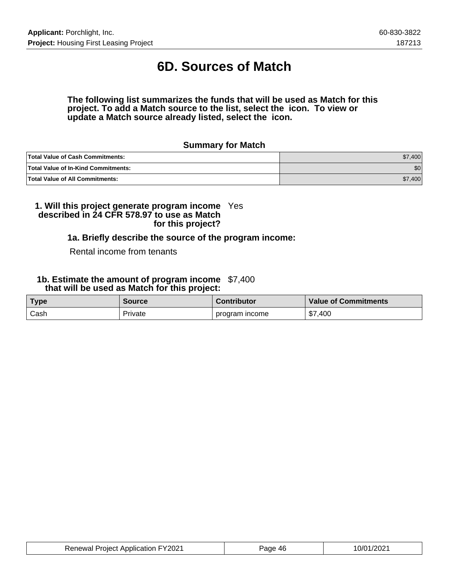# **6D. Sources of Match**

#### **The following list summarizes the funds that will be used as Match for this project. To add a Match source to the list, select the icon. To view or update a Match source already listed, select the icon.**

#### **Summary for Match**

| <b>Total Value of Cash Commitments:</b>    | \$7,400          |
|--------------------------------------------|------------------|
| <b>Total Value of In-Kind Commitments:</b> | \$0 <sub>1</sub> |
| <b>Total Value of All Commitments:</b>     | \$7,400          |

#### **1. Will this project generate program income described in 24 CFR 578.97 to use as Match for this project?** Yes

#### **1a. Briefly describe the source of the program income:**

#### Rental income from tenants

#### **1b. Estimate the amount of program income** \$7,400  **that will be used as Match for this project:**

| <b>Type</b> | <b>Source</b> | <b>Contributor</b> | <b>Value of Commitments</b> |
|-------------|---------------|--------------------|-----------------------------|
| Cash        | Private       | program income     | \$7,400                     |

| <b>Cation FY2021</b><br><b>Project Application</b><br>≀AnAwal | 46 | w<br>. |
|---------------------------------------------------------------|----|--------|
|---------------------------------------------------------------|----|--------|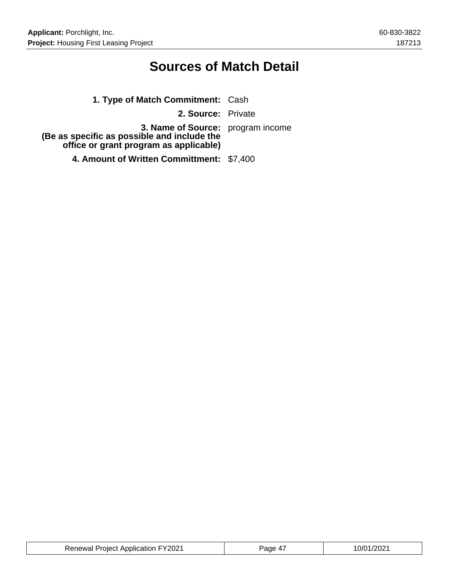# **Sources of Match Detail**

| 1. Type of Match Commitment: Cash                                                                                                 |  |
|-----------------------------------------------------------------------------------------------------------------------------------|--|
| 2. Source: Private                                                                                                                |  |
| <b>3. Name of Source:</b> program income<br>(Be as specific as possible and include the<br>office or grant program as applicable) |  |
| 4. Amount of Written Committment: \$7,400                                                                                         |  |

| <b>Renewal Project Application FY2021</b> | Page 47 | 10/01/2021 |
|-------------------------------------------|---------|------------|
|-------------------------------------------|---------|------------|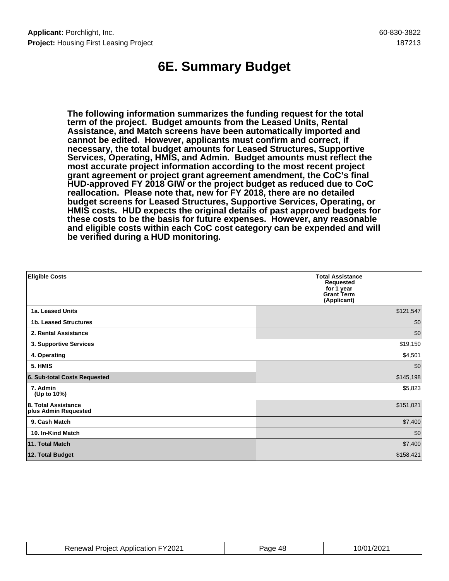# **6E. Summary Budget**

**The following information summarizes the funding request for the total term of the project. Budget amounts from the Leased Units, Rental Assistance, and Match screens have been automatically imported and cannot be edited. However, applicants must confirm and correct, if necessary, the total budget amounts for Leased Structures, Supportive Services, Operating, HMIS, and Admin. Budget amounts must reflect the most accurate project information according to the most recent project grant agreement or project grant agreement amendment, the CoC's final HUD-approved FY 2018 GIW or the project budget as reduced due to CoC reallocation. Please note that, new for FY 2018, there are no detailed budget screens for Leased Structures, Supportive Services, Operating, or HMIS costs. HUD expects the original details of past approved budgets for these costs to be the basis for future expenses. However, any reasonable and eligible costs within each CoC cost category can be expended and will be verified during a HUD monitoring.**

| <b>Eligible Costs</b>                       | <b>Total Assistance</b><br><b>Requested</b><br>for 1 year<br><b>Grant Term</b><br>(Applicant) |
|---------------------------------------------|-----------------------------------------------------------------------------------------------|
| 1a. Leased Units                            | \$121,547                                                                                     |
| 1b. Leased Structures                       | \$0                                                                                           |
| 2. Rental Assistance                        | \$0                                                                                           |
| 3. Supportive Services                      | \$19,150                                                                                      |
| 4. Operating                                | \$4,501                                                                                       |
| 5. HMIS                                     | \$0                                                                                           |
| 6. Sub-total Costs Requested                | \$145,198                                                                                     |
| 7. Admin<br>(Up to 10%)                     | \$5,823                                                                                       |
| 8. Total Assistance<br>plus Admin Requested | \$151,021                                                                                     |
| 9. Cash Match                               | \$7,400                                                                                       |
| 10. In-Kind Match                           | \$0                                                                                           |
| 11. Total Match                             | \$7,400                                                                                       |
| 12. Total Budget                            | \$158,421                                                                                     |

| <b>Renewal Project Application FY2021</b> | Page 48 | 10/01/2021 |
|-------------------------------------------|---------|------------|
|-------------------------------------------|---------|------------|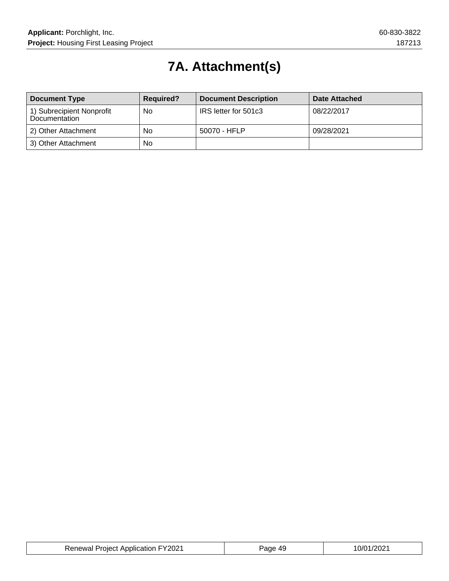# **7A. Attachment(s)**

| <b>Document Type</b>                       | <b>Required?</b> | <b>Document Description</b> | Date Attached |
|--------------------------------------------|------------------|-----------------------------|---------------|
| 1) Subrecipient Nonprofit<br>Documentation | No               | IRS letter for 501c3        | 08/22/2017    |
| 2) Other Attachment                        | No               | 50070 - HFLP                | 09/28/2021    |
| 3) Other Attachment                        | No               |                             |               |

| <b>Renewal Project Application FY2021</b> | . 49<br>Page | 10/01/2021 |
|-------------------------------------------|--------------|------------|
|-------------------------------------------|--------------|------------|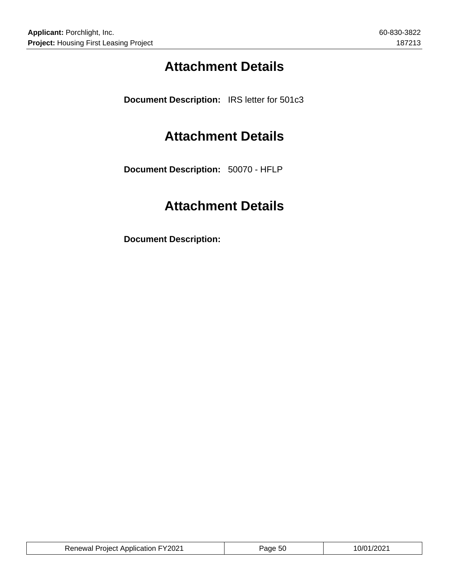# **Attachment Details**

**Document Description:** IRS letter for 501c3

## **Attachment Details**

**Document Description:** 50070 - HFLP

# **Attachment Details**

**Document Description:**

| <b>Renewal Project Application FY2021</b> | Page 50 | 10/01/2021 |
|-------------------------------------------|---------|------------|
|                                           |         |            |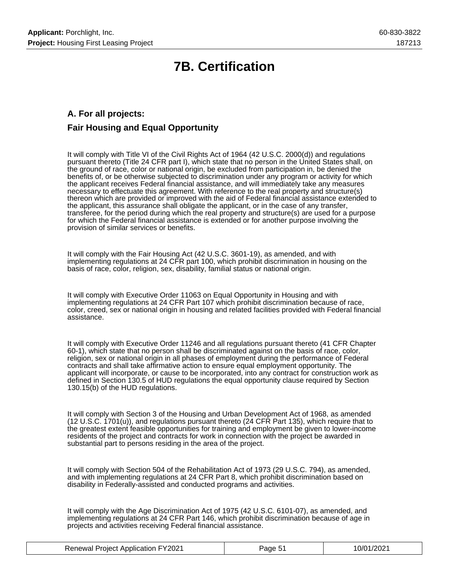# **7B. Certification**

### **A. For all projects: Fair Housing and Equal Opportunity**

It will comply with Title VI of the Civil Rights Act of 1964 (42 U.S.C. 2000(d)) and regulations pursuant thereto (Title 24 CFR part I), which state that no person in the United States shall, on the ground of race, color or national origin, be excluded from participation in, be denied the benefits of, or be otherwise subjected to discrimination under any program or activity for which the applicant receives Federal financial assistance, and will immediately take any measures necessary to effectuate this agreement. With reference to the real property and structure(s) thereon which are provided or improved with the aid of Federal financial assistance extended to the applicant, this assurance shall obligate the applicant, or in the case of any transfer, transferee, for the period during which the real property and structure(s) are used for a purpose for which the Federal financial assistance is extended or for another purpose involving the provision of similar services or benefits.

It will comply with the Fair Housing Act (42 U.S.C. 3601-19), as amended, and with implementing regulations at 24 CFR part 100, which prohibit discrimination in housing on the basis of race, color, religion, sex, disability, familial status or national origin.

It will comply with Executive Order 11063 on Equal Opportunity in Housing and with implementing regulations at 24 CFR Part 107 which prohibit discrimination because of race, color, creed, sex or national origin in housing and related facilities provided with Federal financial assistance.

It will comply with Executive Order 11246 and all regulations pursuant thereto (41 CFR Chapter 60-1), which state that no person shall be discriminated against on the basis of race, color, religion, sex or national origin in all phases of employment during the performance of Federal contracts and shall take affirmative action to ensure equal employment opportunity. The applicant will incorporate, or cause to be incorporated, into any contract for construction work as defined in Section 130.5 of HUD regulations the equal opportunity clause required by Section 130.15(b) of the HUD regulations.

It will comply with Section 3 of the Housing and Urban Development Act of 1968, as amended (12 U.S.C. 1701(u)), and regulations pursuant thereto (24 CFR Part 135), which require that to the greatest extent feasible opportunities for training and employment be given to lower-income residents of the project and contracts for work in connection with the project be awarded in substantial part to persons residing in the area of the project.

It will comply with Section 504 of the Rehabilitation Act of 1973 (29 U.S.C. 794), as amended, and with implementing regulations at 24 CFR Part 8, which prohibit discrimination based on disability in Federally-assisted and conducted programs and activities.

It will comply with the Age Discrimination Act of 1975 (42 U.S.C. 6101-07), as amended, and implementing regulations at 24 CFR Part 146, which prohibit discrimination because of age in projects and activities receiving Federal financial assistance.

| <b>Renewal Project Application FY2021</b> | Page 51 | 10/01/2021 |
|-------------------------------------------|---------|------------|
|-------------------------------------------|---------|------------|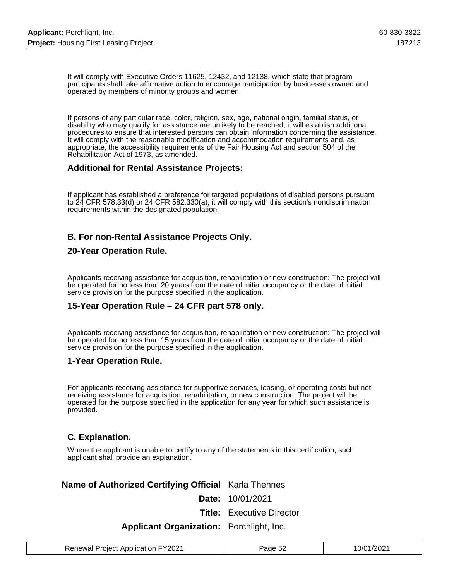It will comply with Executive Orders 11625, 12432, and 12138, which state that program participants shall take affirmative action to encourage participation by businesses owned and operated by members of minority groups and women.

If persons of any particular race, color, religion, sex, age, national origin, familial status, or disability who may qualify for assistance are unlikely to be reached, it will establish additional procedures to ensure that interested persons can obtain information concerning the assistance. It will comply with the reasonable modification and accommodation requirements and, as appropriate, the accessibility requirements of the Fair Housing Act and section 504 of the Rehabilitation Act of 1973, as amended.

#### **Additional for Rental Assistance Projects:**

If applicant has established a preference for targeted populations of disabled persons pursuant to 24 CFR 578.33(d) or 24 CFR 582.330(a), it will comply with this section's nondiscrimination requirements within the designated population.

### **B. For non-Rental Assistance Projects Only.**

#### **20-Year Operation Rule.**

Applicants receiving assistance for acquisition, rehabilitation or new construction: The project will be operated for no less than 20 years from the date of initial occupancy or the date of initial service provision for the purpose specified in the application.

#### **15-Year Operation Rule – 24 CFR part 578 only.**

Applicants receiving assistance for acquisition, rehabilitation or new construction: The project will be operated for no less than 15 years from the date of initial occupancy or the date of initial service provision for the purpose specified in the application.

#### **1-Year Operation Rule.**

For applicants receiving assistance for supportive services, leasing, or operating costs but not receiving assistance for acquisition, rehabilitation, or new construction: The project will be operated for the purpose specified in the application for any year for which such assistance is provided.

#### **C. Explanation.**

Where the applicant is unable to certify to any of the statements in this certification, such applicant shall provide an explanation.

### **Name of Authorized Certifying Official** Karla Thennes

**Date:** 10/01/2021

**Title:** Executive Director

#### **Applicant Organization:** Porchlight, Inc.

| <b>Renewal Project Application FY2021</b> | Page 52 | 10/01/2021 |
|-------------------------------------------|---------|------------|
|-------------------------------------------|---------|------------|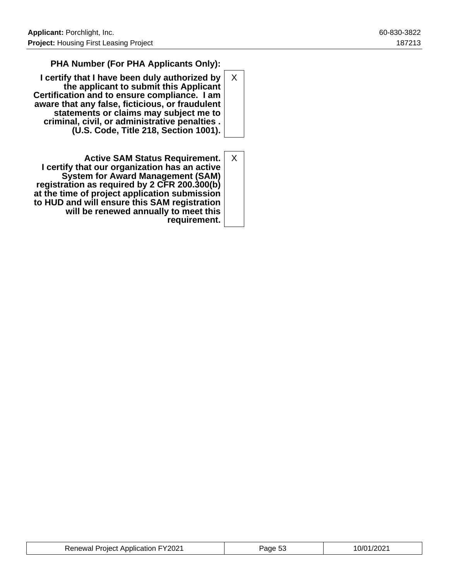### **PHA Number (For PHA Applicants Only):**

- **I certify that I have been duly authorized by the applicant to submit this Applicant Certification and to ensure compliance. I am aware that any false, ficticious, or fraudulent statements or claims may subject me to criminal, civil, or administrative penalties . (U.S. Code, Title 218, Section 1001).** X
- **Active SAM Status Requirement. I certify that our organization has an active System for Award Management (SAM) registration as required by 2 CFR 200.300(b) at the time of project application submission to HUD and will ensure this SAM registration will be renewed annually to meet this requirement.** X

| <b>Renewal Project Application FY2021</b> | Page 53 | 10/01/2021 |
|-------------------------------------------|---------|------------|
|-------------------------------------------|---------|------------|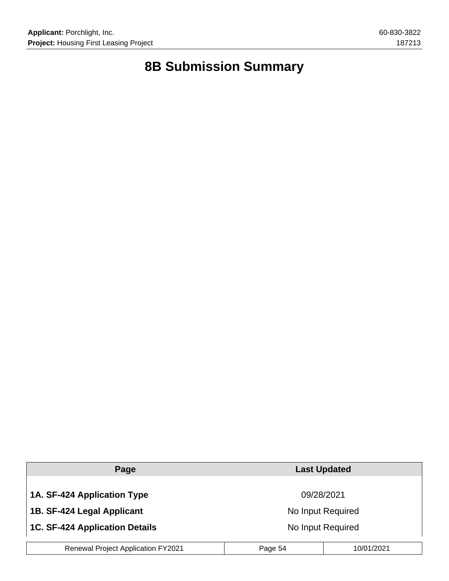# **8B Submission Summary**

| Page                                      | <b>Last Updated</b> |            |
|-------------------------------------------|---------------------|------------|
|                                           |                     |            |
| 1A. SF-424 Application Type               | 09/28/2021          |            |
| 1B. SF-424 Legal Applicant                | No Input Required   |            |
| 1C. SF-424 Application Details            | No Input Required   |            |
| <b>Renewal Project Application FY2021</b> | Page 54             | 10/01/2021 |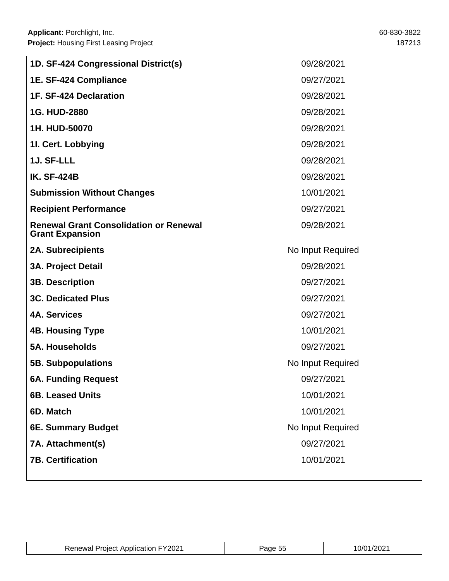| 1D. SF-424 Congressional District(s)                                    | 09/28/2021        |  |
|-------------------------------------------------------------------------|-------------------|--|
| 1E. SF-424 Compliance                                                   | 09/27/2021        |  |
| 1F. SF-424 Declaration                                                  | 09/28/2021        |  |
| 1G. HUD-2880                                                            | 09/28/2021        |  |
| 1H. HUD-50070                                                           | 09/28/2021        |  |
| 1I. Cert. Lobbying                                                      | 09/28/2021        |  |
| 1J. SF-LLL                                                              | 09/28/2021        |  |
| <b>IK. SF-424B</b>                                                      | 09/28/2021        |  |
| <b>Submission Without Changes</b>                                       | 10/01/2021        |  |
| <b>Recipient Performance</b>                                            | 09/27/2021        |  |
| <b>Renewal Grant Consolidation or Renewal</b><br><b>Grant Expansion</b> | 09/28/2021        |  |
| <b>2A. Subrecipients</b>                                                | No Input Required |  |
| <b>3A. Project Detail</b>                                               | 09/28/2021        |  |
| <b>3B. Description</b>                                                  | 09/27/2021        |  |
| <b>3C. Dedicated Plus</b>                                               | 09/27/2021        |  |
| <b>4A. Services</b>                                                     | 09/27/2021        |  |
|                                                                         |                   |  |
| <b>4B. Housing Type</b>                                                 | 10/01/2021        |  |
| <b>5A. Households</b>                                                   | 09/27/2021        |  |
| <b>5B. Subpopulations</b>                                               | No Input Required |  |
| <b>6A. Funding Request</b>                                              | 09/27/2021        |  |
| <b>6B. Leased Units</b>                                                 | 10/01/2021        |  |
| 6D. Match                                                               | 10/01/2021        |  |
| 6E. Summary Budget                                                      | No Input Required |  |
| 7A. Attachment(s)                                                       | 09/27/2021        |  |

| ്ക്ക് FY2021<br>: Annlication.<br>Renewal<br>- roject | апе<br>u. | - 0/01<br>202<br>. |
|-------------------------------------------------------|-----------|--------------------|
|                                                       |           |                    |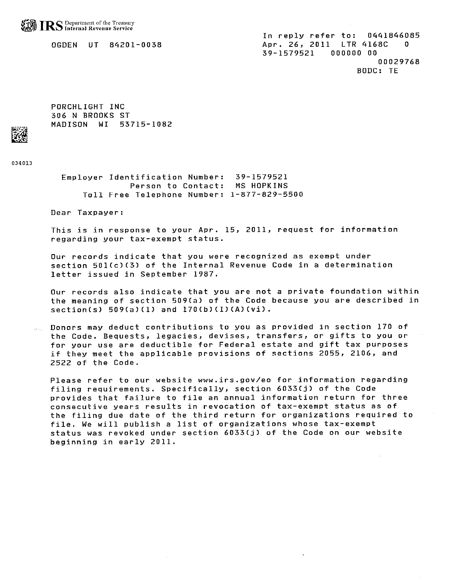OGDEN UT 84201-0038

In reply refer to: 0441846085 Apr. 26, 2011 LTR 4168C 0 39-1579521  $000000000$ 00029768 BODC: TE

PORCHLIGHT INC 306 N BROOKS ST MADISON WI 53715-1082

034013

Employer Identification Number: 39-1579521 Person to Contact: MS HOPKINS Toll Free Telephone Number: 1-877-829-5500

Dear Taxpayer:

This is in response to your Apr. 15, 2011, request for information regarding your tax-exempt status.

Our records indicate that you were recognized as exempt under section 501(c)(3) of the Internal Revenue Code in a determination letter issued in September 1987.

Our records also indicate that you are not a private foundation within the meaning of section 509(a) of the Code because you are described in  $section(s) 509(a)(1) and 170(b)(1)(A)(vi).$ 

Donors may deduct contributions to you as provided in section 170 of the Code. Bequests, legacies, devises, transfers, or gifts to you or for your use are deductible for Federal estate and gift tax purposes if they meet the applicable provisions of sections 2055, 2106, and 2522 of the Code.

Please refer to our website www.irs.gov/eo for information regarding filing requirements. Specifically, section 6033(j) of the Code provides that failure to file an annual information return for three consecutive years results in revocation of tax-exempt status as of the filing due date of the third return for organizations required to file. We will publish a list of organizations whose tax-exempt status was revoked under section 6033(j) of the Code on our website beginning in early 2011.